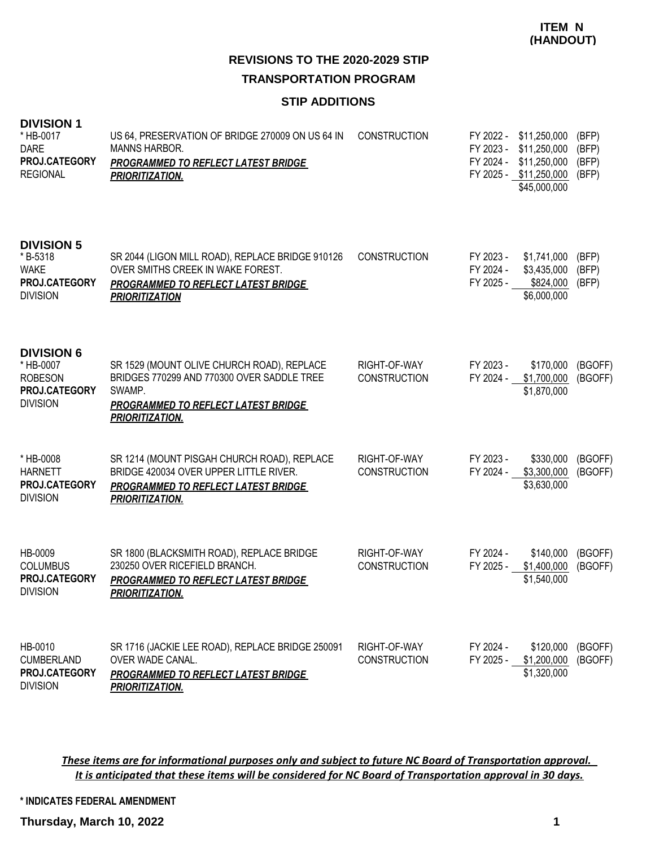### **STIP ADDITIONS**

| <b>DIVISION 1</b><br>* HB-0017<br><b>DARE</b><br>PROJ.CATEGORY<br><b>REGIONAL</b>    | US 64, PRESERVATION OF BRIDGE 270009 ON US 64 IN<br><b>MANNS HARBOR.</b><br><b>PROGRAMMED TO REFLECT LATEST BRIDGE</b><br>PRIORITIZATION.                           | <b>CONSTRUCTION</b>                 | FY 2023 -<br>FY 2024 - | FY 2022 - \$11,250,000<br>\$11,250,000<br>\$11,250,000<br>FY 2025 - \$11,250,000<br>\$45,000,000 | (BFP)<br>(BFP)<br>(BFP)<br>(BFP) |
|--------------------------------------------------------------------------------------|---------------------------------------------------------------------------------------------------------------------------------------------------------------------|-------------------------------------|------------------------|--------------------------------------------------------------------------------------------------|----------------------------------|
| <b>DIVISION 5</b><br>* B-5318<br><b>WAKE</b><br>PROJ.CATEGORY<br><b>DIVISION</b>     | SR 2044 (LIGON MILL ROAD), REPLACE BRIDGE 910126<br>OVER SMITHS CREEK IN WAKE FOREST.<br><b>PROGRAMMED TO REFLECT LATEST BRIDGE</b><br><b>PRIORITIZATION</b>        | <b>CONSTRUCTION</b>                 | FY 2023 -<br>FY 2024 - | \$1,741,000<br>\$3,435,000<br>FY 2025 - \$824,000<br>\$6,000,000                                 | (BFP)<br>(BFP)<br>(BFP)          |
| <b>DIVISION 6</b><br>* HB-0007<br><b>ROBESON</b><br>PROJ.CATEGORY<br><b>DIVISION</b> | SR 1529 (MOUNT OLIVE CHURCH ROAD), REPLACE<br>BRIDGES 770299 AND 770300 OVER SADDLE TREE<br>SWAMP.<br>PROGRAMMED TO REFLECT LATEST BRIDGE<br><b>PRIORITIZATION.</b> | RIGHT-OF-WAY<br><b>CONSTRUCTION</b> | FY 2023 -<br>FY 2024 - | \$170,000<br>\$1,700,000<br>\$1,870,000                                                          | (BGOFF)<br>(BGOFF)               |
| * HB-0008<br><b>HARNETT</b><br><b>PROJ.CATEGORY</b><br><b>DIVISION</b>               | SR 1214 (MOUNT PISGAH CHURCH ROAD), REPLACE<br>BRIDGE 420034 OVER UPPER LITTLE RIVER.<br><b>PROGRAMMED TO REFLECT LATEST BRIDGE</b><br>PRIORITIZATION.              | RIGHT-OF-WAY<br><b>CONSTRUCTION</b> | FY 2023 -<br>FY 2024 - | \$330,000<br>\$3,300,000<br>\$3,630,000                                                          | (BGOFF)<br>(BGOFF)               |
| HB-0009<br><b>COLUMBUS</b><br>PROJ.CATEGORY<br><b>DIVISION</b>                       | SR 1800 (BLACKSMITH ROAD), REPLACE BRIDGE<br>230250 OVER RICEFIELD BRANCH.<br><b>PROGRAMMED TO REFLECT LATEST BRIDGE</b><br><b>PRIORITIZATION.</b>                  | RIGHT-OF-WAY<br><b>CONSTRUCTION</b> | FY 2024 -              | \$140,000<br>FY 2025 - \$1,400,000<br>\$1,540,000                                                | (BGOFF)<br>(BGOFF)               |
| HB-0010<br><b>CUMBERLAND</b><br>PROJ.CATEGORY<br><b>DIVISION</b>                     | SR 1716 (JACKIE LEE ROAD), REPLACE BRIDGE 250091<br>OVER WADE CANAL.<br>PROGRAMMED TO REFLECT LATEST BRIDGE<br>PRIORITIZATION.                                      | RIGHT-OF-WAY<br><b>CONSTRUCTION</b> | FY 2024 -<br>FY 2025 - | \$120,000<br>\$1,200,000<br>\$1,320,000                                                          | (BGOFF)<br>(BGOFF)               |

*These items are for informational purposes only and subject to future NC Board of Transportation approval. It is anticipated that these items will be considered for NC Board of Transportation approval in 30 days.*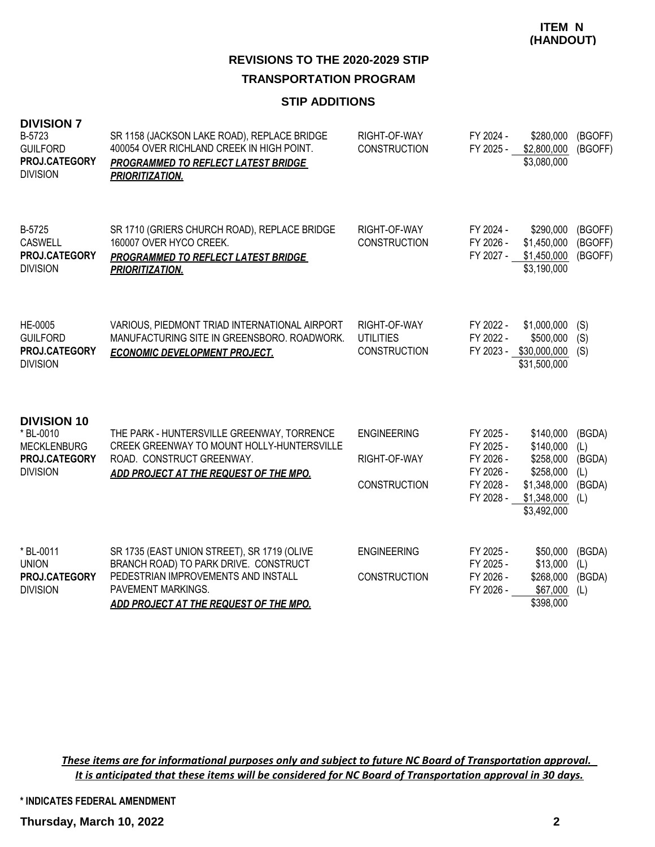#### **STIP ADDITIONS**

| <b>DIVISION 7</b><br>B-5723<br><b>GUILFORD</b><br>PROJ.CATEGORY<br><b>DIVISION</b>        | SR 1158 (JACKSON LAKE ROAD), REPLACE BRIDGE<br>400054 OVER RICHLAND CREEK IN HIGH POINT.<br><b>PROGRAMMED TO REFLECT LATEST BRIDGE</b><br><b>PRIORITIZATION.</b>                            | RIGHT-OF-WAY<br><b>CONSTRUCTION</b>                       | FY 2024 -<br>FY 2025 -                                                     | \$280,000<br>\$2,800,000<br>\$3,080,000                                                       | (BGOFF)<br>(BGOFF)                              |
|-------------------------------------------------------------------------------------------|---------------------------------------------------------------------------------------------------------------------------------------------------------------------------------------------|-----------------------------------------------------------|----------------------------------------------------------------------------|-----------------------------------------------------------------------------------------------|-------------------------------------------------|
| B-5725<br><b>CASWELL</b><br>PROJ.CATEGORY<br><b>DIVISION</b>                              | SR 1710 (GRIERS CHURCH ROAD), REPLACE BRIDGE<br>160007 OVER HYCO CREEK.<br><b>PROGRAMMED TO REFLECT LATEST BRIDGE</b><br><b>PRIORITIZATION.</b>                                             | RIGHT-OF-WAY<br><b>CONSTRUCTION</b>                       | FY 2024 -<br>FY 2026 -<br>FY 2027 -                                        | \$290,000<br>\$1,450,000<br>\$1,450,000<br>\$3,190,000                                        | (BGOFF)<br>(BGOFF)<br>(BGOFF)                   |
| HE-0005<br><b>GUILFORD</b><br>PROJ.CATEGORY<br><b>DIVISION</b>                            | VARIOUS, PIEDMONT TRIAD INTERNATIONAL AIRPORT<br>MANUFACTURING SITE IN GREENSBORO. ROADWORK.<br><b>ECONOMIC DEVELOPMENT PROJECT.</b>                                                        | RIGHT-OF-WAY<br><b>UTILITIES</b><br><b>CONSTRUCTION</b>   | FY 2022 -<br>FY 2022 -                                                     | \$1,000,000<br>\$500,000<br>FY 2023 - \$30,000,000<br>\$31,500,000                            | (S)<br>(S)<br>(S)                               |
| <b>DIVISION 10</b><br>* BL-0010<br><b>MECKLENBURG</b><br>PROJ.CATEGORY<br><b>DIVISION</b> | THE PARK - HUNTERSVILLE GREENWAY, TORRENCE<br>CREEK GREENWAY TO MOUNT HOLLY-HUNTERSVILLE<br>ROAD. CONSTRUCT GREENWAY.<br>ADD PROJECT AT THE REQUEST OF THE MPO.                             | <b>ENGINEERING</b><br>RIGHT-OF-WAY<br><b>CONSTRUCTION</b> | FY 2025 -<br>FY 2025 -<br>FY 2026 -<br>FY 2026 -<br>FY 2028 -<br>FY 2028 - | \$140,000<br>\$140,000<br>\$258,000<br>\$258,000<br>\$1,348,000<br>\$1,348,000<br>\$3,492,000 | (BGDA)<br>(L)<br>(BGDA)<br>(L)<br>(BGDA)<br>(L) |
| * BL-0011<br><b>UNION</b><br>PROJ.CATEGORY<br><b>DIVISION</b>                             | SR 1735 (EAST UNION STREET), SR 1719 (OLIVE<br>BRANCH ROAD) TO PARK DRIVE. CONSTRUCT<br>PEDESTRIAN IMPROVEMENTS AND INSTALL<br>PAVEMENT MARKINGS.<br>ADD PROJECT AT THE REQUEST OF THE MPO. | <b>ENGINEERING</b><br><b>CONSTRUCTION</b>                 | FY 2025 -<br>FY 2025 -<br>FY 2026 -<br>FY 2026 -                           | \$50,000<br>\$13,000<br>\$268,000<br>\$67,000<br>\$398,000                                    | (BGDA)<br>(L)<br>(BGDA)<br>(L)                  |

*These items are for informational purposes only and subject to future NC Board of Transportation approval. It is anticipated that these items will be considered for NC Board of Transportation approval in 30 days.*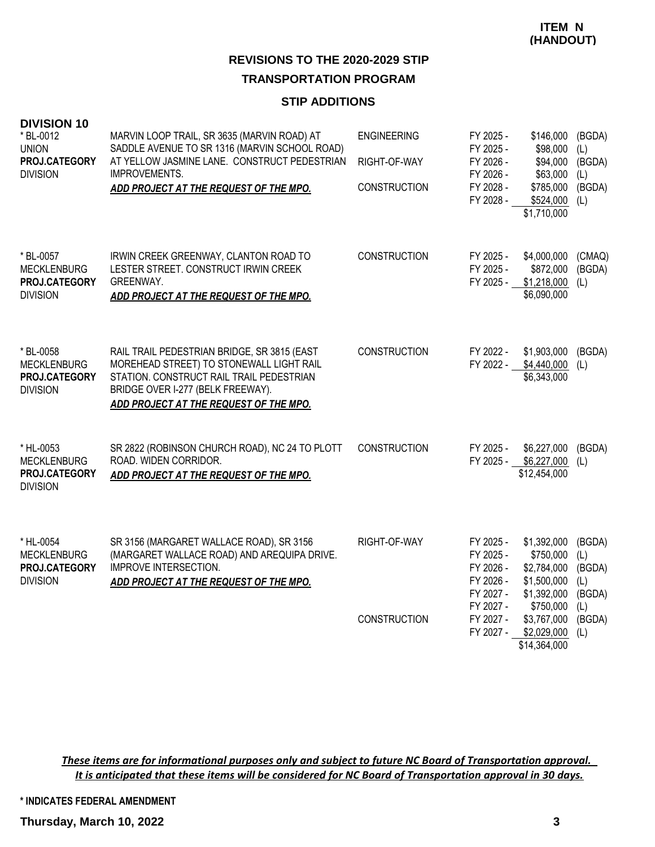# **REVISIONS TO THE 2020-2029 STIP**

## **TRANSPORTATION PROGRAM**

#### **STIP ADDITIONS**

| <b>DIVISION 10</b><br>* BL-0012<br><b>UNION</b><br>PROJ.CATEGORY<br><b>DIVISION</b> | MARVIN LOOP TRAIL, SR 3635 (MARVIN ROAD) AT<br>SADDLE AVENUE TO SR 1316 (MARVIN SCHOOL ROAD)<br>AT YELLOW JASMINE LANE. CONSTRUCT PEDESTRIAN<br>IMPROVEMENTS.<br>ADD PROJECT AT THE REQUEST OF THE MPO.            | <b>ENGINEERING</b><br>RIGHT-OF-WAY<br><b>CONSTRUCTION</b> | FY 2025 -<br>FY 2025 -<br>FY 2026 -<br>FY 2026 -<br>FY 2028 -<br>FY 2028 - | \$146,000<br>\$98,000<br>\$94,000<br>\$63,000<br>\$785,000<br>\$524,000<br>\$1,710,000 | (BGDA)<br>(L)<br>(BGDA)<br>(L)<br>(BGDA)<br>(L) |
|-------------------------------------------------------------------------------------|--------------------------------------------------------------------------------------------------------------------------------------------------------------------------------------------------------------------|-----------------------------------------------------------|----------------------------------------------------------------------------|----------------------------------------------------------------------------------------|-------------------------------------------------|
| * BL-0057<br><b>MECKLENBURG</b><br>PROJ.CATEGORY<br><b>DIVISION</b>                 | IRWIN CREEK GREENWAY, CLANTON ROAD TO<br>LESTER STREET. CONSTRUCT IRWIN CREEK<br><b>GREENWAY.</b><br>ADD PROJECT AT THE REQUEST OF THE MPO.                                                                        | <b>CONSTRUCTION</b>                                       | FY 2025 -<br>FY 2025 -<br>FY 2025 -                                        | \$4,000,000<br>\$872,000<br>\$1,218,000<br>\$6,090,000                                 | (CMAQ)<br>(BGDA)<br>(L)                         |
| * BL-0058<br><b>MECKLENBURG</b><br>PROJ.CATEGORY<br><b>DIVISION</b>                 | RAIL TRAIL PEDESTRIAN BRIDGE, SR 3815 (EAST<br>MOREHEAD STREET) TO STONEWALL LIGHT RAIL<br>STATION. CONSTRUCT RAIL TRAIL PEDESTRIAN<br>BRIDGE OVER I-277 (BELK FREEWAY).<br>ADD PROJECT AT THE REQUEST OF THE MPO. | <b>CONSTRUCTION</b>                                       | FY 2022 -<br>FY 2022 -                                                     | \$1,903,000<br>\$4,440,000<br>\$6,343,000                                              | (BGDA)<br>(L)                                   |
| * HL-0053<br><b>MECKLENBURG</b><br>PROJ.CATEGORY<br><b>DIVISION</b>                 | SR 2822 (ROBINSON CHURCH ROAD), NC 24 TO PLOTT<br>ROAD. WIDEN CORRIDOR.<br>ADD PROJECT AT THE REQUEST OF THE MPO.                                                                                                  | <b>CONSTRUCTION</b>                                       | FY 2025 -<br>FY 2025 -                                                     | \$6,227,000<br>\$6,227,000<br>\$12,454,000                                             | (BGDA)<br>(L)                                   |
| * HL-0054<br><b>MECKLENBURG</b><br>PROJ.CATEGORY<br><b>DIVISION</b>                 | SR 3156 (MARGARET WALLACE ROAD), SR 3156<br>(MARGARET WALLACE ROAD) AND AREQUIPA DRIVE.<br><b>IMPROVE INTERSECTION.</b><br>ADD PROJECT AT THE REQUEST OF THE MPO.                                                  | RIGHT-OF-WAY                                              | FY 2025 -<br>FY 2025 -<br>FY 2026 -<br>FY 2026 -<br>FY 2027 -<br>FY 2027 - | \$1,392,000<br>\$750,000<br>\$2,784,000<br>\$1,500,000<br>\$1,392,000<br>\$750,000     | (BGDA)<br>(L)<br>(BGDA)<br>(L)<br>(BGDA)<br>(L) |
|                                                                                     |                                                                                                                                                                                                                    | <b>CONSTRUCTION</b>                                       | FY 2027 -<br>FY 2027 -                                                     | \$3,767,000<br>\$2,029,000<br>\$14,364,000                                             | (BGDA)<br>(L)                                   |

*These items are for informational purposes only and subject to future NC Board of Transportation approval. It is anticipated that these items will be considered for NC Board of Transportation approval in 30 days.*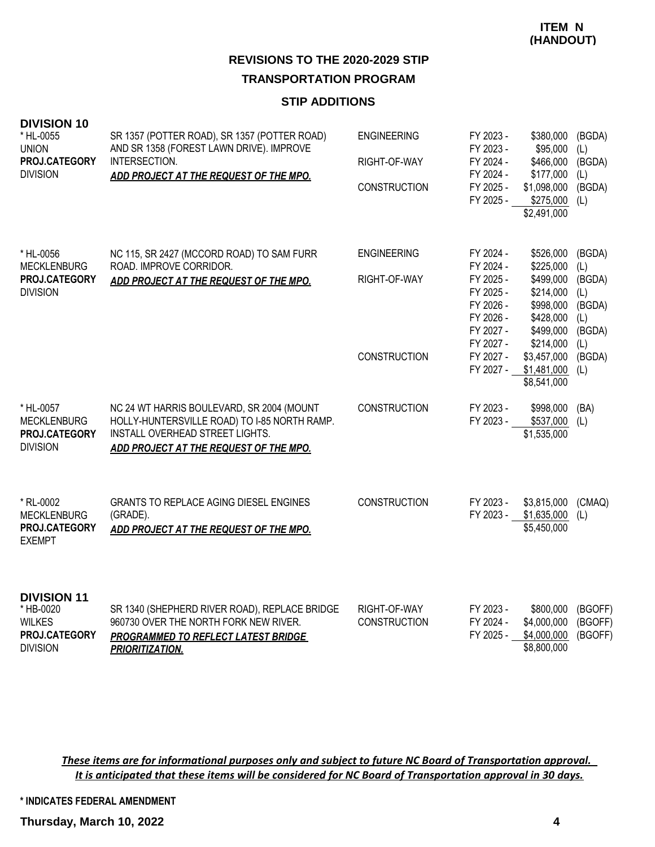#### **STIP ADDITIONS**

| <b>DIVISION 10</b><br>* HL-0055<br><b>UNION</b><br>PROJ.CATEGORY<br><b>DIVISION</b>  | SR 1357 (POTTER ROAD), SR 1357 (POTTER ROAD)<br>AND SR 1358 (FOREST LAWN DRIVE). IMPROVE<br>INTERSECTION.<br>ADD PROJECT AT THE REQUEST OF THE MPO.                    | <b>ENGINEERING</b><br>RIGHT-OF-WAY<br><b>CONSTRUCTION</b> | FY 2023 -<br>FY 2023 -<br>FY 2024 -<br>FY 2024 -<br>FY 2025 -<br>FY 2025 -                           | \$380,000<br>\$95,000<br>\$466,000<br>\$177,000<br>\$1,098,000<br>$$275,000$ (L)<br>\$2,491,000 | (BGDA)<br>(L)<br>(BGDA)<br>(L)<br>(BGDA)                  |
|--------------------------------------------------------------------------------------|------------------------------------------------------------------------------------------------------------------------------------------------------------------------|-----------------------------------------------------------|------------------------------------------------------------------------------------------------------|-------------------------------------------------------------------------------------------------|-----------------------------------------------------------|
| * HL-0056<br><b>MECKLENBURG</b><br>PROJ.CATEGORY<br><b>DIVISION</b>                  | NC 115, SR 2427 (MCCORD ROAD) TO SAM FURR<br>ROAD. IMPROVE CORRIDOR.<br>ADD PROJECT AT THE REQUEST OF THE MPO.                                                         | <b>ENGINEERING</b><br>RIGHT-OF-WAY                        | FY 2024 -<br>FY 2024 -<br>FY 2025 -<br>FY 2025 -<br>FY 2026 -<br>FY 2026 -<br>FY 2027 -<br>FY 2027 - | \$526,000<br>\$225,000<br>\$499,000<br>\$214,000<br>\$998,000<br>\$428,000<br>\$499,000         | (BGDA)<br>(L)<br>(BGDA)<br>(L)<br>(BGDA)<br>(L)<br>(BGDA) |
|                                                                                      |                                                                                                                                                                        | <b>CONSTRUCTION</b>                                       | FY 2027 -<br>FY 2027 -                                                                               | \$214,000<br>\$3,457,000<br>\$1,481,000<br>\$8,541,000                                          | (L)<br>(BGDA)<br>(L)                                      |
| * HL-0057<br><b>MECKLENBURG</b><br>PROJ.CATEGORY<br><b>DIVISION</b>                  | NC 24 WT HARRIS BOULEVARD, SR 2004 (MOUNT<br>HOLLY-HUNTERSVILLE ROAD) TO I-85 NORTH RAMP.<br>INSTALL OVERHEAD STREET LIGHTS.<br>ADD PROJECT AT THE REQUEST OF THE MPO. | <b>CONSTRUCTION</b>                                       | FY 2023 -<br>FY 2023 -                                                                               | \$998,000<br>\$537,000<br>\$1,535,000                                                           | (BA)<br>(L)                                               |
| * RL-0002<br><b>MECKLENBURG</b><br>PROJ.CATEGORY<br><b>EXEMPT</b>                    | <b>GRANTS TO REPLACE AGING DIESEL ENGINES</b><br>(GRADE).<br>ADD PROJECT AT THE REQUEST OF THE MPO.                                                                    | <b>CONSTRUCTION</b>                                       | FY 2023 -<br>FY 2023 -                                                                               | \$3,815,000<br>\$1,635,000<br>\$5,450,000                                                       | (CMAQ)<br>(L)                                             |
| <b>DIVISION 11</b><br>* HB-0020<br><b>WILKES</b><br>PROJ.CATEGORY<br><b>DIVISION</b> | SR 1340 (SHEPHERD RIVER ROAD), REPLACE BRIDGE<br>960730 OVER THE NORTH FORK NEW RIVER.<br>PROGRAMMED TO REFLECT LATEST BRIDGE<br><b>PRIORITIZATION.</b>                | RIGHT-OF-WAY<br><b>CONSTRUCTION</b>                       | FY 2023 -<br>FY 2024 -<br>FY 2025 -                                                                  | \$800,000<br>\$4,000,000<br>\$4,000,000<br>\$8,800,000                                          | (BGOFF)<br>(BGOFF)<br>(BGOFF)                             |

*These items are for informational purposes only and subject to future NC Board of Transportation approval. It is anticipated that these items will be considered for NC Board of Transportation approval in 30 days.*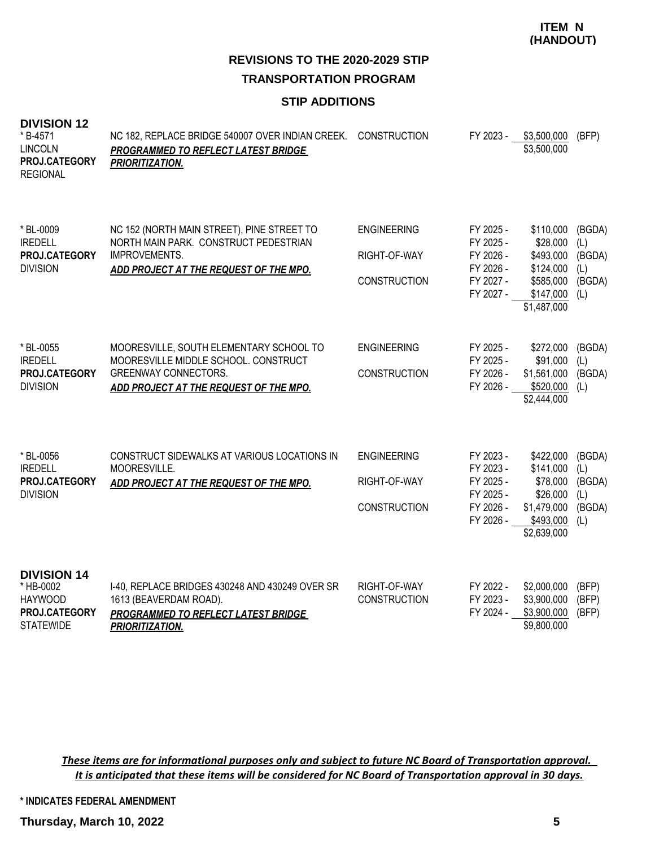**ITEM N (HANDOUT)**

**REVISIONS TO THE 2020-2029 STIP TRANSPORTATION PROGRAM**

### **STIP ADDITIONS**

| <b>DIVISION 12</b><br>* B-4571<br><b>LINCOLN</b><br>PROJ.CATEGORY<br><b>REGIONAL</b>   | NC 182, REPLACE BRIDGE 540007 OVER INDIAN CREEK.<br>PROGRAMMED TO REFLECT LATEST BRIDGE<br>PRIORITIZATION.                                               | <b>CONSTRUCTION</b>                                       | FY 2023 -                                                                  | \$3,500,000<br>\$3,500,000                                                                | (BFP)                                           |
|----------------------------------------------------------------------------------------|----------------------------------------------------------------------------------------------------------------------------------------------------------|-----------------------------------------------------------|----------------------------------------------------------------------------|-------------------------------------------------------------------------------------------|-------------------------------------------------|
| * BL-0009<br><b>IREDELL</b><br>PROJ.CATEGORY<br><b>DIVISION</b>                        | NC 152 (NORTH MAIN STREET), PINE STREET TO<br>NORTH MAIN PARK. CONSTRUCT PEDESTRIAN<br>IMPROVEMENTS.<br>ADD PROJECT AT THE REQUEST OF THE MPO.           | <b>ENGINEERING</b><br>RIGHT-OF-WAY<br><b>CONSTRUCTION</b> | FY 2025 -<br>FY 2025 -<br>FY 2026 -<br>FY 2026 -<br>FY 2027 -<br>FY 2027 - | \$110,000<br>\$28,000<br>\$493,000<br>\$124,000<br>\$585,000<br>\$147,000<br>\$1,487,000  | (BGDA)<br>(L)<br>(BGDA)<br>(L)<br>(BGDA)<br>(L) |
| * BL-0055<br><b>IREDELL</b><br>PROJ.CATEGORY<br><b>DIVISION</b>                        | MOORESVILLE, SOUTH ELEMENTARY SCHOOL TO<br>MOORESVILLE MIDDLE SCHOOL. CONSTRUCT<br><b>GREENWAY CONNECTORS.</b><br>ADD PROJECT AT THE REQUEST OF THE MPO. | <b>ENGINEERING</b><br><b>CONSTRUCTION</b>                 | FY 2025 -<br>FY 2025 -<br>FY 2026 -<br>FY 2026 -                           | \$272,000<br>\$91,000<br>\$1,561,000<br>\$520,000<br>\$2,444,000                          | (BGDA)<br>(L)<br>(BGDA)<br>(L)                  |
| * BL-0056<br><b>IREDELL</b><br>PROJ.CATEGORY<br><b>DIVISION</b>                        | CONSTRUCT SIDEWALKS AT VARIOUS LOCATIONS IN<br>MOORESVILLE.<br>ADD PROJECT AT THE REQUEST OF THE MPO.                                                    | <b>ENGINEERING</b><br>RIGHT-OF-WAY<br>CONSTRUCTION        | FY 2023 -<br>FY 2023 -<br>FY 2025 -<br>FY 2025 -<br>FY 2026 -<br>FY 2026 - | \$422,000<br>\$141,000<br>\$78,000<br>\$26,000<br>\$1,479,000<br>\$493,000<br>\$2,639,000 | (BGDA)<br>(L)<br>(BGDA)<br>(L)<br>(BGDA)<br>(L) |
| <b>DIVISION 14</b><br>* HB-0002<br><b>HAYWOOD</b><br>PROJ.CATEGORY<br><b>STATEWIDE</b> | I-40, REPLACE BRIDGES 430248 AND 430249 OVER SR<br>1613 (BEAVERDAM ROAD).<br>PROGRAMMED TO REFLECT LATEST BRIDGE<br><b>PRIORITIZATION.</b>               | RIGHT-OF-WAY<br><b>CONSTRUCTION</b>                       | FY 2022 -<br>FY 2023 -<br>FY 2024 -                                        | \$2,000,000<br>\$3,900,000<br>\$3,900,000<br>\$9,800,000                                  | (BFP)<br>(BFP)<br>(BFP)                         |

*These items are for informational purposes only and subject to future NC Board of Transportation approval. It is anticipated that these items will be considered for NC Board of Transportation approval in 30 days.*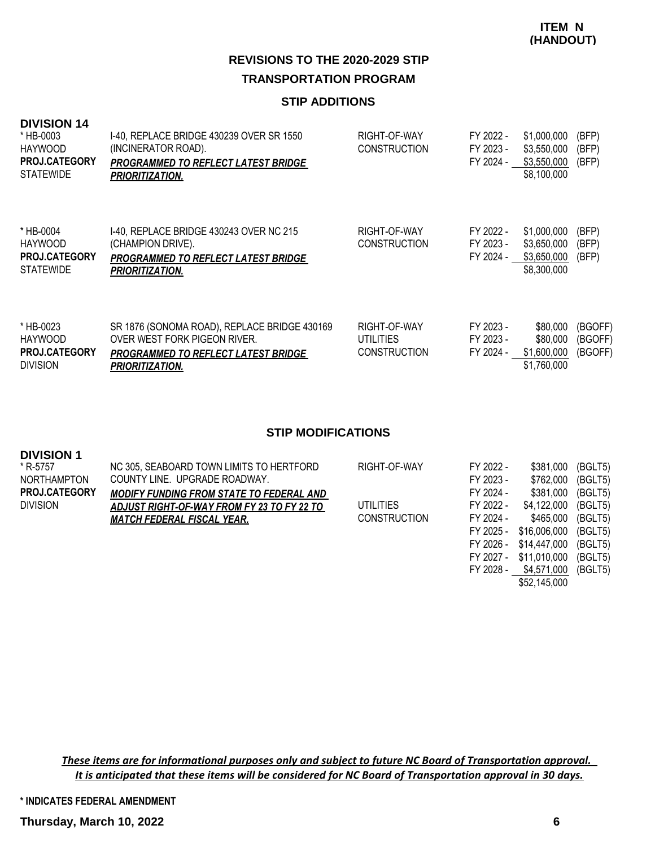#### **STIP ADDITIONS**

| <b>DIVISION 14</b><br>* HB-0003<br><b>HAYWOOD</b><br><b>PROJ.CATEGORY</b><br><b>STATEWIDE</b> | 1-40, REPLACE BRIDGE 430239 OVER SR 1550<br>(INCINERATOR ROAD).<br>PROGRAMMED TO REFLECT LATEST BRIDGE<br><b>PRIORITIZATION.</b>                     | RIGHT-OF-WAY<br><b>CONSTRUCTION</b>                     | FY 2022 -<br>FY 2023 -<br>FY 2024 - | \$1,000,000<br>\$3,550,000<br>\$3,550,000<br>\$8,100,000 | (BFP)<br>(BFP)<br>(BFP)       |
|-----------------------------------------------------------------------------------------------|------------------------------------------------------------------------------------------------------------------------------------------------------|---------------------------------------------------------|-------------------------------------|----------------------------------------------------------|-------------------------------|
| * HB-0004<br><b>HAYWOOD</b><br>PROJ.CATEGORY<br><b>STATEWIDE</b>                              | 1-40, REPLACE BRIDGE 430243 OVER NC 215<br>(CHAMPION DRIVE).<br><b>PROGRAMMED TO REFLECT LATEST BRIDGE</b><br><b>PRIORITIZATION.</b>                 | RIGHT-OF-WAY<br><b>CONSTRUCTION</b>                     | FY 2022 -<br>FY 2023 -<br>FY 2024 - | \$1,000,000<br>\$3,650,000<br>\$3,650,000<br>\$8,300,000 | (BFP)<br>(BFP)<br>(BFP)       |
| * HB-0023<br><b>HAYWOOD</b><br><b>PROJ.CATEGORY</b><br><b>DIVISION</b>                        | SR 1876 (SONOMA ROAD), REPLACE BRIDGE 430169<br>OVER WEST FORK PIGEON RIVER.<br><b>PROGRAMMED TO REFLECT LATEST BRIDGE</b><br><b>PRIORITIZATION.</b> | RIGHT-OF-WAY<br><b>UTILITIES</b><br><b>CONSTRUCTION</b> | FY 2023 -<br>FY 2023 -<br>FY 2024 - | \$80,000<br>\$80,000<br>\$1,600,000<br>\$1,760,000       | (BGOFF)<br>(BGOFF)<br>(BGOFF) |

#### **STIP MODIFICATIONS**

| <b>DIVISION 1</b>    |                                                 |                     |           |              |         |
|----------------------|-------------------------------------------------|---------------------|-----------|--------------|---------|
| * R-5757             | NC 305, SEABOARD TOWN LIMITS TO HERTFORD        | RIGHT-OF-WAY        | FY 2022 - | \$381.000    | (BGLT5) |
| <b>NORTHAMPTON</b>   | COUNTY LINE. UPGRADE ROADWAY.                   |                     | FY 2023 - | \$762,000    | (BGLT5) |
| <b>PROJ.CATEGORY</b> | <b>MODIFY FUNDING FROM STATE TO FEDERAL AND</b> |                     | FY 2024 - | \$381,000    | (BGLT5) |
| <b>DIVISION</b>      | ADJUST RIGHT-OF-WAY FROM FY 23 TO FY 22 TO      | <b>UTILITIES</b>    | FY 2022 - | \$4,122,000  | (BGLT5) |
|                      | <b>MATCH FEDERAL FISCAL YEAR.</b>               | <b>CONSTRUCTION</b> | FY 2024 - | \$465,000    | (BGLT5) |
|                      |                                                 |                     | FY 2025 - | \$16,006,000 | (BGLT5) |
|                      |                                                 |                     | FY 2026 - | \$14,447,000 | (BGLT5) |
|                      |                                                 |                     | FY 2027 - | \$11,010,000 | (BGLT5) |

*These items are for informational purposes only and subject to future NC Board of Transportation approval. It is anticipated that these items will be considered for NC Board of Transportation approval in 30 days.*

**\* INDICATES FEDERAL AMENDMENT**

 FY 2028 - \$4,571,000 (BGLT5) \$52,145,000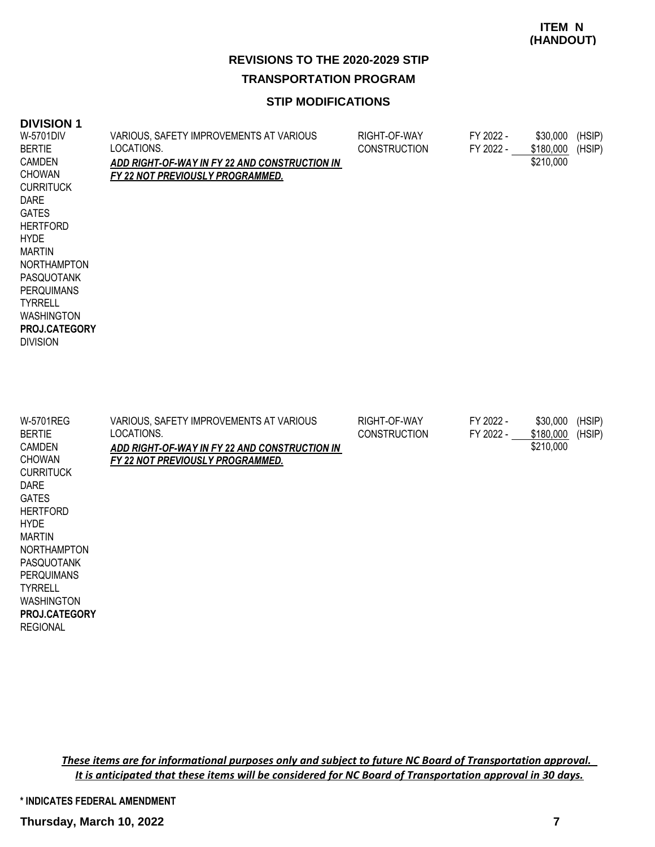#### **STIP MODIFICATIONS**

#### **DIVISION 1** VARIOUS, SAFETY IMPROVEMENTS AT VARIOUS LOCATIONS. *ADD RIGHT-OF-WAY IN FY 22 AND CONSTRUCTION IN FY 22 NOT PREVIOUSLY PROGRAMMED.* RIGHT-OF-WAY FY 2022 - \$30,000 (HSIP)<br>CONSTRUCTION FY 2022 - \$180.000 (HSIP) CONSTRUCTION FY 2022 - \$180,000 (HSIP) \$210,000 W-5701DIV BERTIE CAMDEN CHOWAN **CURRITUCK** DARE GATES **HERTFORD** HYDE MARTIN NORTHAMPTON PASQUOTANK PERQUIMANS TYRRELL WASHINGTON DIVISION **PROJ.CATEGORY** VARIOUS, SAFETY IMPROVEMENTS AT VARIOUS LOCATIONS. *ADD RIGHT-OF-WAY IN FY 22 AND CONSTRUCTION IN FY 22 NOT PREVIOUSLY PROGRAMMED.* RIGHT-OF-WAY FY 2022 - \$30,000 (HSIP) CONSTRUCTION FY 2022 - \$180,000 (HSIP) \$210,000 W-5701REG BERTIE **CAMDEN** CHOWAN **CURRITUCK** DARE GATES **HERTFORD HYDE** MARTIN NORTHAMPTON PASQUOTANK PERQUIMANS TYRRELL WASHINGTON REGIONAL **PROJ.CATEGORY**

*These items are for informational purposes only and subject to future NC Board of Transportation approval. It is anticipated that these items will be considered for NC Board of Transportation approval in 30 days.*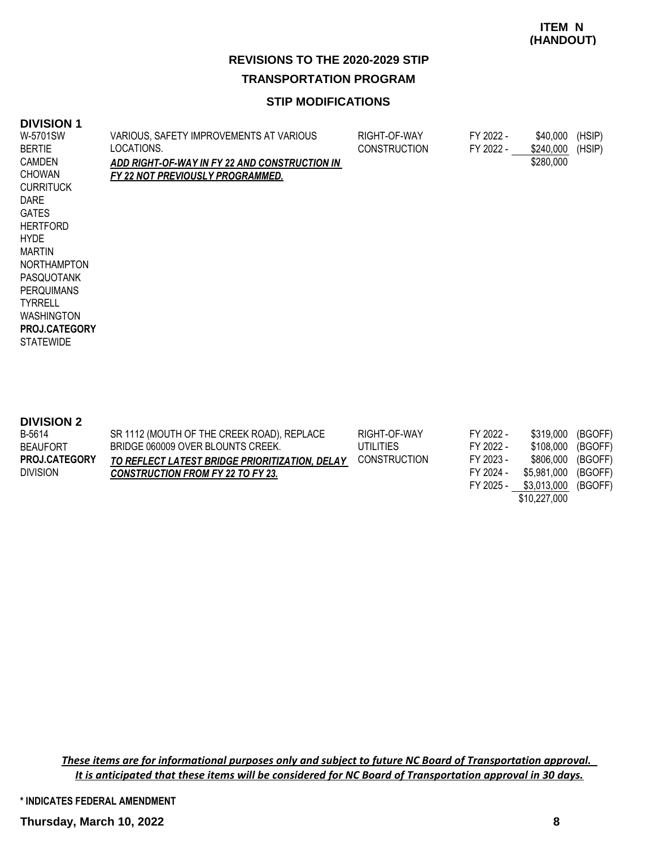#### **STIP MODIFICATIONS**

#### **DIVISION 1**

| W-5701SW<br><b>BERTIE</b> | VARIOUS, SAFETY IMPROVEMENTS AT VARIOUS<br>LOCATIONS. | RIGHT-OF-WAY<br><b>CONSTRUCTION</b> | FY 2022 -<br>FY 2022 - | \$40,000<br>\$240,000 | (HSIP)<br>(HSIP) |
|---------------------------|-------------------------------------------------------|-------------------------------------|------------------------|-----------------------|------------------|
| CAMDEN                    | <u>ADD RIGHT-OF-WAY IN FY 22 AND CONSTRUCTION IN</u>  |                                     |                        | \$280,000             |                  |
| <b>CHOWAN</b>             | <u>FY 22 NOT PREVIOUSLY PROGRAMMED.</u>               |                                     |                        |                       |                  |
| <b>CURRITUCK</b>          |                                                       |                                     |                        |                       |                  |
| <b>DARE</b>               |                                                       |                                     |                        |                       |                  |
| <b>GATES</b>              |                                                       |                                     |                        |                       |                  |
| <b>HERTFORD</b>           |                                                       |                                     |                        |                       |                  |
| <b>HYDE</b>               |                                                       |                                     |                        |                       |                  |
| MARTIN                    |                                                       |                                     |                        |                       |                  |
| <b>NORTHAMPTON</b>        |                                                       |                                     |                        |                       |                  |
| <b>PASQUOTANK</b>         |                                                       |                                     |                        |                       |                  |
| <b>PERQUIMANS</b>         |                                                       |                                     |                        |                       |                  |
| <b>TYRRELL</b>            |                                                       |                                     |                        |                       |                  |
| <b>WASHINGTON</b>         |                                                       |                                     |                        |                       |                  |
| <b>PROJ.CATEGORY</b>      |                                                       |                                     |                        |                       |                  |
| <b>STATEWIDE</b>          |                                                       |                                     |                        |                       |                  |
|                           |                                                       |                                     |                        |                       |                  |
|                           |                                                       |                                     |                        |                       |                  |

| <b>DIVISION 2</b> |  |
|-------------------|--|
|-------------------|--|

| B-5614               | SR 1112 (MOUTH OF THE CREEK ROAD), REPLACE     | RIGHT-OF-WAY        | FY 2022 - | \$319.000    | (BGOFF) |
|----------------------|------------------------------------------------|---------------------|-----------|--------------|---------|
| <b>BEAUFORT</b>      | BRIDGE 060009 OVER BLOUNTS CREEK.              | UTILITIES           | FY 2022 - | \$108.000    | (BGOFF) |
| <b>PROJ.CATEGORY</b> | TO REFLECT LATEST BRIDGE PRIORITIZATION, DELAY | <b>CONSTRUCTION</b> | FY 2023 - | \$806.000    | (BGOFF) |
| <b>DIVISION</b>      | <b>CONSTRUCTION FROM FY 22 TO FY 23.</b>       |                     | FY 2024 - | \$5.981.000  | (BGOFF) |
|                      |                                                |                     | FY 2025 - | \$3,013,000  | (BGOFF) |
|                      |                                                |                     |           | \$10,227,000 |         |

*These items are for informational purposes only and subject to future NC Board of Transportation approval. It is anticipated that these items will be considered for NC Board of Transportation approval in 30 days.*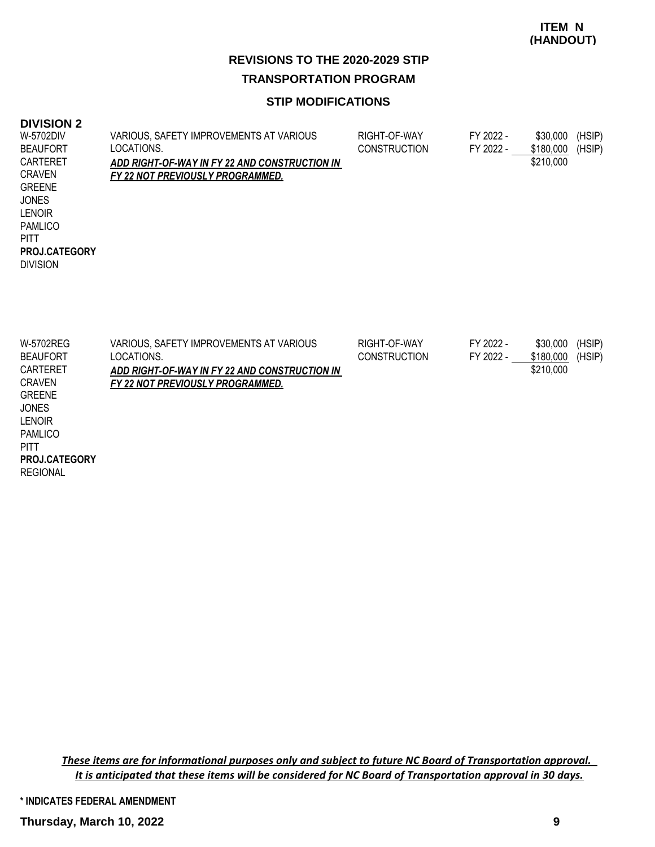#### **STIP MODIFICATIONS**

#### **DIVISION 2**

| W-5702DIV            | VARIOUS, SAFETY IMPROVEMENTS AT VARIOUS       | RIGHT-OF-WAY        | FY 2022 - | \$30,000  | (HSIP) |
|----------------------|-----------------------------------------------|---------------------|-----------|-----------|--------|
| <b>BEAUFORT</b>      | LOCATIONS.                                    | <b>CONSTRUCTION</b> | FY 2022 - | \$180,000 | (HSIP) |
| CARTERET             | ADD RIGHT-OF-WAY IN FY 22 AND CONSTRUCTION IN |                     |           | \$210,000 |        |
| <b>CRAVEN</b>        | <b>FY 22 NOT PREVIOUSLY PROGRAMMED.</b>       |                     |           |           |        |
| <b>GREENE</b>        |                                               |                     |           |           |        |
| <b>JONES</b>         |                                               |                     |           |           |        |
| <b>LENOIR</b>        |                                               |                     |           |           |        |
| <b>PAMLICO</b>       |                                               |                     |           |           |        |
| <b>PITT</b>          |                                               |                     |           |           |        |
| <b>PROJ.CATEGORY</b> |                                               |                     |           |           |        |
| <b>DIVISION</b>      |                                               |                     |           |           |        |
|                      |                                               |                     |           |           |        |
|                      |                                               |                     |           |           |        |
|                      |                                               |                     |           |           |        |

| W-5702REG       | VARIOUS, SAFETY IMPROVEMENTS AT VARIOUS       | RIGHT-OF-WAY        | FY 2022 - | \$30,000  | (HSIP) |
|-----------------|-----------------------------------------------|---------------------|-----------|-----------|--------|
| <b>BEAUFORT</b> | LOCATIONS.                                    | <b>CONSTRUCTION</b> | FY 2022 - | \$180,000 | (HSIP) |
| CARTERET        | ADD RIGHT-OF-WAY IN FY 22 AND CONSTRUCTION IN |                     |           | \$210,000 |        |
| <b>CRAVEN</b>   | FY 22 NOT PREVIOUSLY PROGRAMMED.              |                     |           |           |        |
| <b>GREENE</b>   |                                               |                     |           |           |        |
| <b>JONES</b>    |                                               |                     |           |           |        |
| <b>LENOIR</b>   |                                               |                     |           |           |        |
| <b>PAMLICO</b>  |                                               |                     |           |           |        |

**PITT PROJ.CATEGORY**

REGIONAL

*These items are for informational purposes only and subject to future NC Board of Transportation approval. It is anticipated that these items will be considered for NC Board of Transportation approval in 30 days.*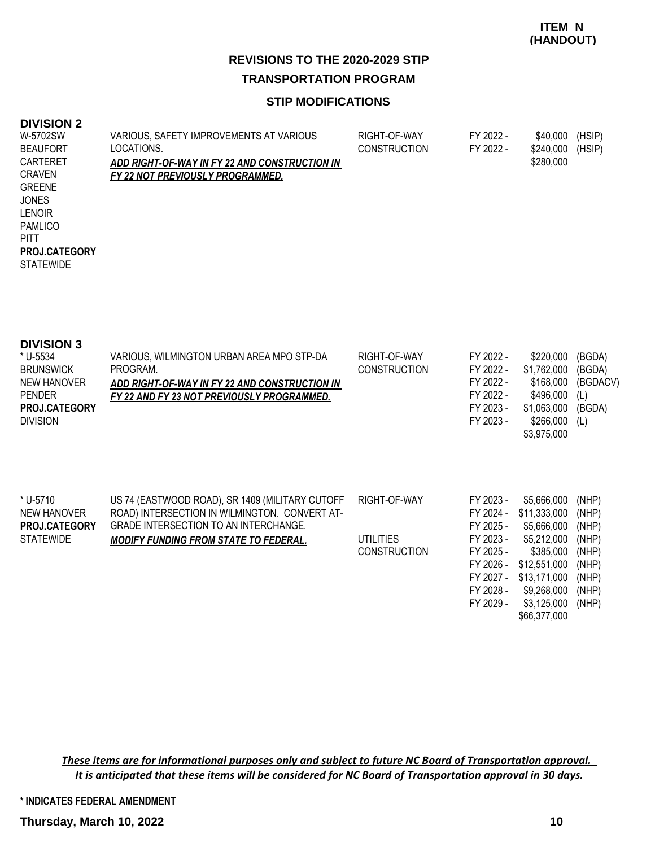**ITEM N (HANDOUT)**

## **REVISIONS TO THE 2020-2029 STIP TRANSPORTATION PROGRAM**

#### **STIP MODIFICATIONS**

#### **DIVISION 2**

| LIVION Z             |                                               |                     |           |           |        |
|----------------------|-----------------------------------------------|---------------------|-----------|-----------|--------|
| W-5702SW             | VARIOUS, SAFETY IMPROVEMENTS AT VARIOUS       | RIGHT-OF-WAY        | FY 2022 - | \$40,000  | (HSIP) |
| <b>BEAUFORT</b>      | LOCATIONS.                                    | <b>CONSTRUCTION</b> | FY 2022 - | \$240,000 | (HSIP) |
| CARTERET             | ADD RIGHT-OF-WAY IN FY 22 AND CONSTRUCTION IN |                     |           | \$280,000 |        |
| <b>CRAVEN</b>        | FY 22 NOT PREVIOUSLY PROGRAMMED.              |                     |           |           |        |
| <b>GREENE</b>        |                                               |                     |           |           |        |
| <b>JONES</b>         |                                               |                     |           |           |        |
| <b>LENOIR</b>        |                                               |                     |           |           |        |
| <b>PAMLICO</b>       |                                               |                     |           |           |        |
| <b>PITT</b>          |                                               |                     |           |           |        |
| <b>PROJ.CATEGORY</b> |                                               |                     |           |           |        |
| <b>STATEWIDE</b>     |                                               |                     |           |           |        |
|                      |                                               |                     |           |           |        |
|                      |                                               |                     |           |           |        |
|                      |                                               |                     |           |           |        |

| <b>DIVISION 3</b><br>* U-5534<br><b>BRUNSWICK</b><br><b>NEW HANOVER</b><br><b>PENDER</b><br>PROJ.CATEGORY<br><b>DIVISION</b> | VARIOUS, WILMINGTON URBAN AREA MPO STP-DA<br>PROGRAM.<br>ADD RIGHT-OF-WAY IN FY 22 AND CONSTRUCTION IN I<br><u>FY 22 AND FY 23 NOT PREVIOUSLY PROGRAMMED.</u>                             | RIGHT-OF-WAY<br><b>CONSTRUCTION</b>              | FY 2022 -<br>FY 2022 -<br>FY 2022 -<br>FY 2022 -<br>FY 2023 -<br>FY 2023 -                                        | \$220,000<br>\$1,762,000<br>\$168,000<br>\$496,000<br>\$1,063,000<br>\$266,000<br>\$3,975,000                                                        | (BGDA)<br>(BGDA)<br>(BGDACV)<br>(L)<br>(BGDA)<br>(L)                          |
|------------------------------------------------------------------------------------------------------------------------------|-------------------------------------------------------------------------------------------------------------------------------------------------------------------------------------------|--------------------------------------------------|-------------------------------------------------------------------------------------------------------------------|------------------------------------------------------------------------------------------------------------------------------------------------------|-------------------------------------------------------------------------------|
| * U-5710<br>NEW HANOVER<br><b>PROJ.CATEGORY</b><br><b>STATEWIDE</b>                                                          | US 74 (EASTWOOD ROAD), SR 1409 (MILITARY CUTOFF<br>ROAD) INTERSECTION IN WILMINGTON. CONVERT AT-<br>GRADE INTERSECTION TO AN INTERCHANGE.<br><b>MODIFY FUNDING FROM STATE TO FEDERAL.</b> | RIGHT-OF-WAY<br>UTILITIES<br><b>CONSTRUCTION</b> | FY 2023 -<br>FY 2024 -<br>FY 2025 -<br>FY 2023 -<br>FY 2025 -<br>FY 2026 -<br>FY 2027 -<br>FY 2028 -<br>FY 2029 - | \$5,666,000<br>\$11,333,000<br>\$5,666,000<br>\$5,212,000<br>\$385,000<br>\$12,551,000<br>\$13,171,000<br>\$9,268,000<br>\$3,125,000<br>\$66,377,000 | (NHP)<br>(NHP)<br>(NHP)<br>(NHP)<br>(NHP)<br>(NHP)<br>(NHP)<br>(NHP)<br>(NHP) |

*These items are for informational purposes only and subject to future NC Board of Transportation approval. It is anticipated that these items will be considered for NC Board of Transportation approval in 30 days.*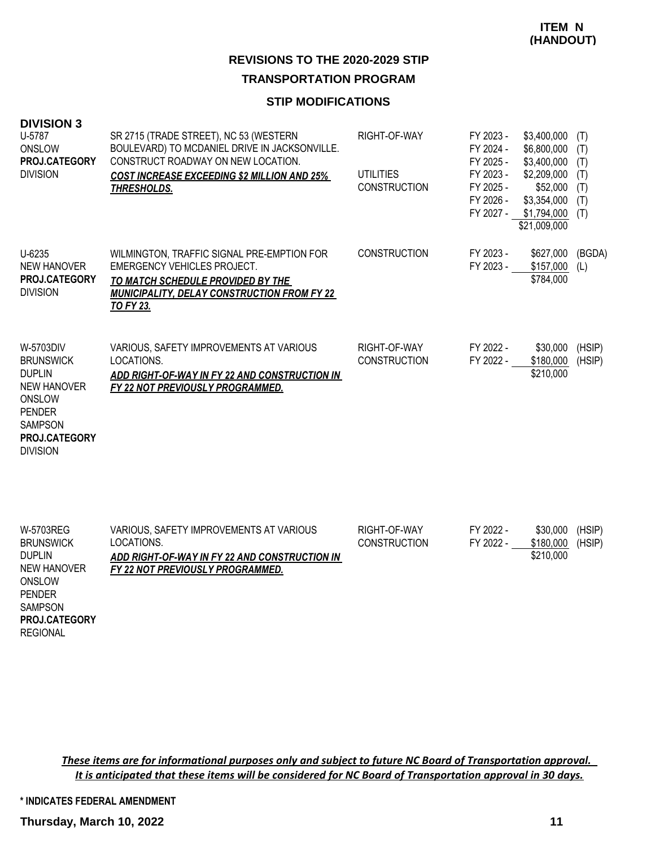#### **STIP MODIFICATIONS**

| <b>DIVISION 3</b><br>U-5787<br>ONSLOW<br>PROJ.CATEGORY<br><b>DIVISION</b>                                                                             | SR 2715 (TRADE STREET), NC 53 (WESTERN<br>BOULEVARD) TO MCDANIEL DRIVE IN JACKSONVILLE.<br>CONSTRUCT ROADWAY ON NEW LOCATION.<br><b>COST INCREASE EXCEEDING \$2 MILLION AND 25%</b><br><b>THRESHOLDS.</b> | RIGHT-OF-WAY<br><b>UTILITIES</b><br><b>CONSTRUCTION</b> | FY 2023 -<br>FY 2024 -<br>FY 2025 -<br>FY 2023 -<br>FY 2025 -<br>FY 2026 -<br>FY 2027 - | \$3,400,000<br>\$6,800,000<br>\$3,400,000<br>\$2,209,000<br>\$52,000<br>\$3,354,000<br>\$1,794,000<br>\$21,009,000 | (T)<br>(T)<br>(T)<br>(T)<br>(T)<br>(T)<br>(T) |
|-------------------------------------------------------------------------------------------------------------------------------------------------------|-----------------------------------------------------------------------------------------------------------------------------------------------------------------------------------------------------------|---------------------------------------------------------|-----------------------------------------------------------------------------------------|--------------------------------------------------------------------------------------------------------------------|-----------------------------------------------|
| U-6235<br><b>NEW HANOVER</b><br>PROJ.CATEGORY<br><b>DIVISION</b>                                                                                      | WILMINGTON, TRAFFIC SIGNAL PRE-EMPTION FOR<br><b>EMERGENCY VEHICLES PROJECT.</b><br>TO MATCH SCHEDULE PROVIDED BY THE<br><b>MUNICIPALITY, DELAY CONSTRUCTION FROM FY 22</b><br><b>TO FY 23.</b>           | <b>CONSTRUCTION</b>                                     | FY 2023 -<br>FY 2023 -                                                                  | \$627,000<br>\$157,000<br>\$784,000                                                                                | (BGDA)<br>(L)                                 |
| W-5703DIV<br><b>BRUNSWICK</b><br><b>DUPLIN</b><br><b>NEW HANOVER</b><br>ONSLOW<br><b>PENDER</b><br><b>SAMPSON</b><br>PROJ.CATEGORY<br><b>DIVISION</b> | VARIOUS, SAFETY IMPROVEMENTS AT VARIOUS<br>LOCATIONS.<br>ADD RIGHT-OF-WAY IN FY 22 AND CONSTRUCTION IN<br>FY 22 NOT PREVIOUSLY PROGRAMMED.                                                                | RIGHT-OF-WAY<br><b>CONSTRUCTION</b>                     | FY 2022 -<br>FY 2022 -                                                                  | \$30,000<br>\$180,000<br>\$210,000                                                                                 | (HSIP)<br>(HSIP)                              |
| W-5703REG<br><b>BRUNSWICK</b><br><b>DUPLIN</b><br><b>NEW HANOVER</b><br>ONSLOW<br><b>PENDER</b><br><b>SAMPSON</b><br>PROJ.CATEGORY                    | VARIOUS, SAFETY IMPROVEMENTS AT VARIOUS<br>LOCATIONS.<br>ADD RIGHT-OF-WAY IN FY 22 AND CONSTRUCTION IN<br>FY 22 NOT PREVIOUSLY PROGRAMMED.                                                                | RIGHT-OF-WAY<br><b>CONSTRUCTION</b>                     | FY 2022 -<br>FY 2022 -                                                                  | \$30,000<br>\$180,000<br>\$210,000                                                                                 | (HSIP)<br>(HSIP)                              |

*These items are for informational purposes only and subject to future NC Board of Transportation approval. It is anticipated that these items will be considered for NC Board of Transportation approval in 30 days.*

**\* INDICATES FEDERAL AMENDMENT**

REGIONAL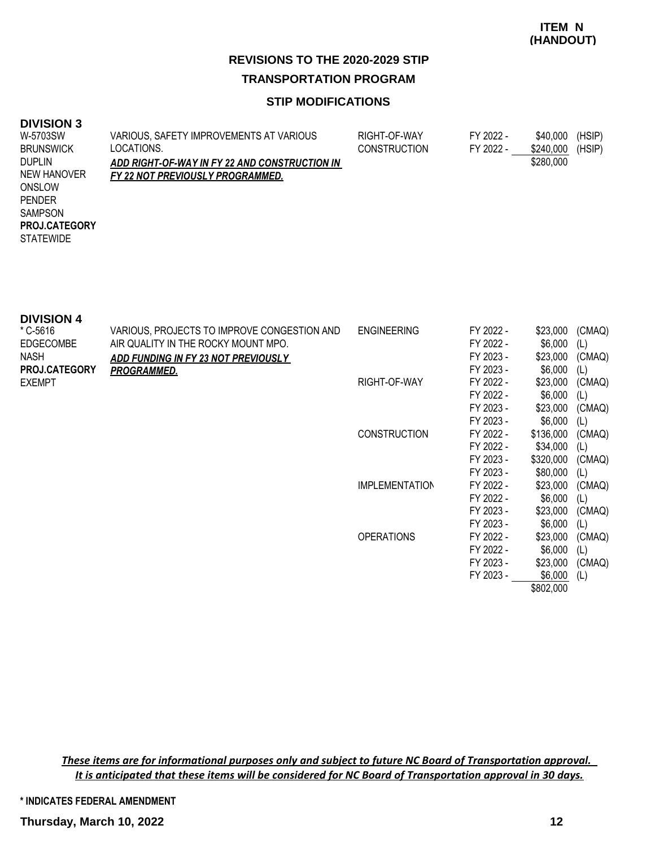#### **STIP MODIFICATIONS**

#### **DIVISION 3**

| ---------            |                                               |                     |           |           |        |
|----------------------|-----------------------------------------------|---------------------|-----------|-----------|--------|
| W-5703SW             | VARIOUS, SAFETY IMPROVEMENTS AT VARIOUS       | RIGHT-OF-WAY        | FY 2022 - | \$40,000  | (HSIP) |
| <b>BRUNSWICK</b>     | LOCATIONS.                                    | <b>CONSTRUCTION</b> | FY 2022 - | \$240,000 | (HSIP) |
| <b>DUPLIN</b>        | ADD RIGHT-OF-WAY IN FY 22 AND CONSTRUCTION IN |                     |           | \$280,000 |        |
| NEW HANOVER          | FY 22 NOT PREVIOUSLY PROGRAMMED.              |                     |           |           |        |
| ONSLOW               |                                               |                     |           |           |        |
| <b>PENDER</b>        |                                               |                     |           |           |        |
| <b>SAMPSON</b>       |                                               |                     |           |           |        |
| <b>PROJ.CATEGORY</b> |                                               |                     |           |           |        |
| <b>STATEWIDE</b>     |                                               |                     |           |           |        |
|                      |                                               |                     |           |           |        |

| <b>DIVISION 4</b>    |                                             |                       |           |           |        |
|----------------------|---------------------------------------------|-----------------------|-----------|-----------|--------|
| * C-5616             | VARIOUS, PROJECTS TO IMPROVE CONGESTION AND | <b>ENGINEERING</b>    | FY 2022 - | \$23,000  | (CMAQ) |
| <b>EDGECOMBE</b>     | AIR QUALITY IN THE ROCKY MOUNT MPO.         |                       | FY 2022 - | \$6,000   | (L)    |
| <b>NASH</b>          | ADD FUNDING IN FY 23 NOT PREVIOUSLY         |                       | FY 2023 - | \$23,000  | (CMAQ) |
| <b>PROJ.CATEGORY</b> | <b>PROGRAMMED.</b>                          |                       | FY 2023 - | \$6,000   | (L)    |
| <b>EXEMPT</b>        |                                             | RIGHT-OF-WAY          | FY 2022 - | \$23,000  | (CMAQ) |
|                      |                                             |                       | FY 2022 - | \$6,000   | (L)    |
|                      |                                             |                       | FY 2023 - | \$23,000  | (CMAQ) |
|                      |                                             |                       | FY 2023 - | \$6,000   | (L)    |
|                      |                                             | <b>CONSTRUCTION</b>   | FY 2022 - | \$136,000 | (CMAQ) |
|                      |                                             |                       | FY 2022 - | \$34,000  | (L)    |
|                      |                                             |                       | FY 2023 - | \$320,000 | (CMAQ) |
|                      |                                             |                       | FY 2023 - | \$80,000  | (L)    |
|                      |                                             | <b>IMPLEMENTATION</b> | FY 2022 - | \$23,000  | (CMAQ) |
|                      |                                             |                       | FY 2022 - | \$6,000   | (L)    |
|                      |                                             |                       | FY 2023 - | \$23,000  | (CMAQ) |
|                      |                                             |                       | FY 2023 - | \$6,000   | (L)    |
|                      |                                             | <b>OPERATIONS</b>     | FY 2022 - | \$23,000  | (CMAQ) |
|                      |                                             |                       | FY 2022 - | \$6,000   | (L)    |
|                      |                                             |                       | FY 2023 - | \$23,000  | (CMAQ) |
|                      |                                             |                       | FY 2023 - | \$6,000   | (L)    |
|                      |                                             |                       |           | \$802,000 |        |

*These items are for informational purposes only and subject to future NC Board of Transportation approval. It is anticipated that these items will be considered for NC Board of Transportation approval in 30 days.*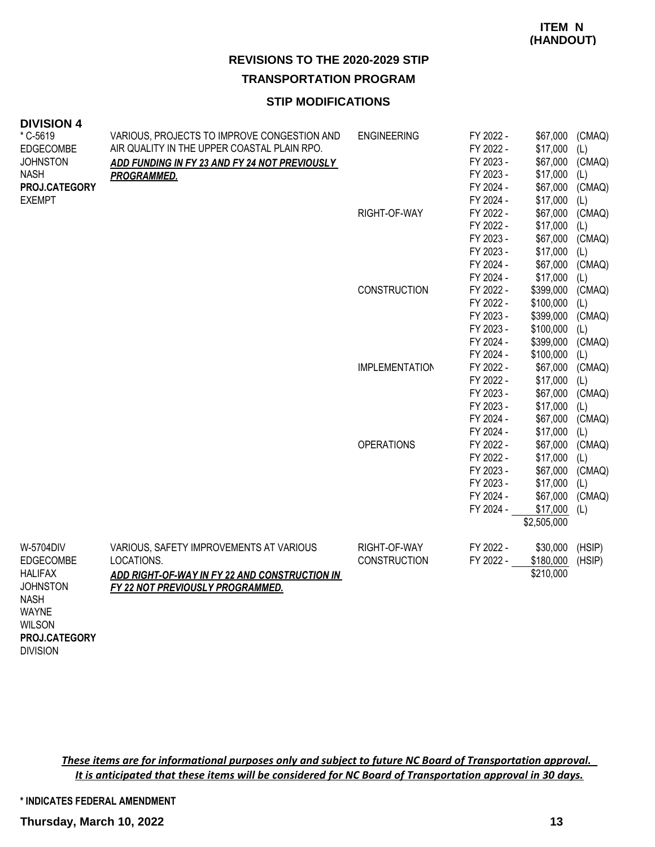#### **STIP MODIFICATIONS**

| <b>DIVISION 4</b>                                               |                                               |                       |           |             |        |
|-----------------------------------------------------------------|-----------------------------------------------|-----------------------|-----------|-------------|--------|
| * C-5619                                                        | VARIOUS, PROJECTS TO IMPROVE CONGESTION AND   | <b>ENGINEERING</b>    | FY 2022 - | \$67,000    | (CMAQ) |
| <b>EDGECOMBE</b>                                                | AIR QUALITY IN THE UPPER COASTAL PLAIN RPO.   |                       | FY 2022 - | \$17,000    | (L)    |
| <b>JOHNSTON</b>                                                 | ADD FUNDING IN FY 23 AND FY 24 NOT PREVIOUSLY |                       | FY 2023 - | \$67,000    | (CMAQ) |
| <b>NASH</b>                                                     | <b>PROGRAMMED.</b>                            |                       | FY 2023 - | \$17,000    | (L)    |
| PROJ.CATEGORY                                                   |                                               |                       | FY 2024 - | \$67,000    | (CMAQ) |
| <b>EXEMPT</b>                                                   |                                               |                       | FY 2024 - | \$17,000    | (L)    |
|                                                                 |                                               | RIGHT-OF-WAY          | FY 2022 - | \$67,000    | (CMAQ) |
|                                                                 |                                               |                       | FY 2022 - | \$17,000    | (L)    |
|                                                                 |                                               |                       | FY 2023 - | \$67,000    | (CMAQ) |
|                                                                 |                                               |                       | FY 2023 - | \$17,000    | (L)    |
|                                                                 |                                               |                       | FY 2024 - | \$67,000    | (CMAQ) |
|                                                                 |                                               |                       | FY 2024 - | \$17,000    | (L)    |
|                                                                 |                                               | <b>CONSTRUCTION</b>   | FY 2022 - | \$399,000   | (CMAQ) |
|                                                                 |                                               |                       | FY 2022 - | \$100,000   | (L)    |
|                                                                 |                                               |                       | FY 2023 - | \$399,000   | (CMAQ) |
|                                                                 |                                               |                       | FY 2023 - | \$100,000   | (L)    |
|                                                                 |                                               |                       | FY 2024 - | \$399,000   | (CMAQ) |
|                                                                 |                                               |                       | FY 2024 - | \$100,000   | (L)    |
|                                                                 |                                               | <b>IMPLEMENTATION</b> | FY 2022 - | \$67,000    | (CMAQ) |
|                                                                 |                                               |                       | FY 2022 - | \$17,000    | (L)    |
|                                                                 |                                               |                       | FY 2023 - | \$67,000    | (CMAQ) |
|                                                                 |                                               |                       | FY 2023 - | \$17,000    | (L)    |
|                                                                 |                                               |                       | FY 2024 - | \$67,000    | (CMAQ) |
|                                                                 |                                               |                       | FY 2024 - | \$17,000    | (L)    |
|                                                                 |                                               | <b>OPERATIONS</b>     | FY 2022 - | \$67,000    | (CMAQ) |
|                                                                 |                                               |                       | FY 2022 - | \$17,000    | (L)    |
|                                                                 |                                               |                       | FY 2023 - | \$67,000    | (CMAQ) |
|                                                                 |                                               |                       | FY 2023 - | \$17,000    | (L)    |
|                                                                 |                                               |                       | FY 2024 - | \$67,000    | (CMAQ) |
|                                                                 |                                               |                       | FY 2024 - | \$17,000    | (L)    |
|                                                                 |                                               |                       |           | \$2,505,000 |        |
|                                                                 |                                               |                       |           |             |        |
| W-5704DIV                                                       | VARIOUS, SAFETY IMPROVEMENTS AT VARIOUS       | RIGHT-OF-WAY          | FY 2022 - | \$30,000    | (HSIP) |
| <b>EDGECOMBE</b>                                                | LOCATIONS.                                    | <b>CONSTRUCTION</b>   | FY 2022 - | \$180,000   | (HSIP) |
| <b>HALIFAX</b>                                                  | ADD RIGHT-OF-WAY IN FY 22 AND CONSTRUCTION IN |                       |           | \$210,000   |        |
| <b>JOHNSTON</b><br><b>NASH</b><br><b>WAYNE</b><br><b>WILSON</b> | <b>FY 22 NOT PREVIOUSLY PROGRAMMED.</b>       |                       |           |             |        |
| PROJ.CATEGORY                                                   |                                               |                       |           |             |        |

DIVISION

*These items are for informational purposes only and subject to future NC Board of Transportation approval. It is anticipated that these items will be considered for NC Board of Transportation approval in 30 days.*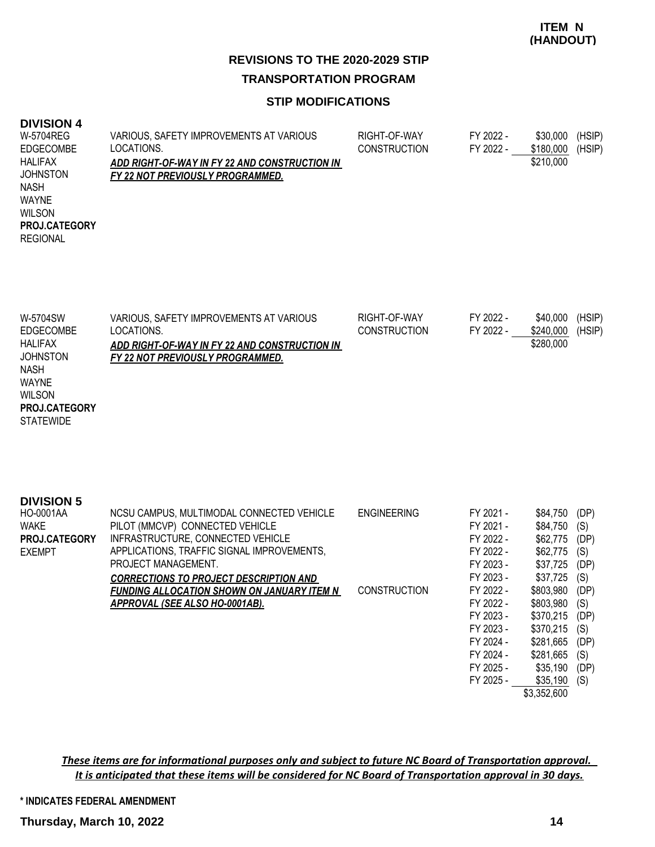#### **STIP MODIFICATIONS**

#### **DIVISION 4**

| W-5704REG            | VARIOUS, SAFETY IMPROVEMENTS AT VARIOUS       | RIGHT-OF-WAY        | FY 2022 - | \$30,000  | (HSIP) |
|----------------------|-----------------------------------------------|---------------------|-----------|-----------|--------|
| <b>EDGECOMBE</b>     | LOCATIONS.                                    | <b>CONSTRUCTION</b> | FY 2022 - | \$180,000 | (HSIP) |
| <b>HALIFAX</b>       | ADD RIGHT-OF-WAY IN FY 22 AND CONSTRUCTION IN |                     |           | \$210,000 |        |
| <b>JOHNSTON</b>      | FY 22 NOT PREVIOUSLY PROGRAMMED.              |                     |           |           |        |
| <b>NASH</b>          |                                               |                     |           |           |        |
| WAYNE                |                                               |                     |           |           |        |
| <b>WILSON</b>        |                                               |                     |           |           |        |
| <b>PROJ.CATEGORY</b> |                                               |                     |           |           |        |
| <b>REGIONAL</b>      |                                               |                     |           |           |        |
|                      |                                               |                     |           |           |        |
|                      |                                               |                     |           |           |        |

| W-5704SW             | VARIOUS, SAFETY IMPROVEMENTS AT VARIOUS       | RIGHT-OF-WAY        | FY 2022 - | \$40,000  | (HSIP) |
|----------------------|-----------------------------------------------|---------------------|-----------|-----------|--------|
| EDGECOMBE            | LOCATIONS.                                    | <b>CONSTRUCTION</b> | FY 2022 - | \$240.000 | (HSIP) |
| HALIFAX              | ADD RIGHT-OF-WAY IN FY 22 AND CONSTRUCTION IN |                     |           | \$280,000 |        |
| <b>JOHNSTON</b>      | FY 22 NOT PREVIOUSLY PROGRAMMED.              |                     |           |           |        |
| <b>NASH</b>          |                                               |                     |           |           |        |
| <b>WAYNE</b>         |                                               |                     |           |           |        |
| <b>WILSON</b>        |                                               |                     |           |           |        |
| <b>PROJ.CATEGORY</b> |                                               |                     |           |           |        |

**STATEWIDE** 

| <b>DIVISION 5</b> |                                                   |                     |           |             |      |
|-------------------|---------------------------------------------------|---------------------|-----------|-------------|------|
| HO-0001AA         | NCSU CAMPUS, MULTIMODAL CONNECTED VEHICLE         | <b>ENGINEERING</b>  | FY 2021 - | \$84,750    | (DP) |
| <b>WAKE</b>       | PILOT (MMCVP) CONNECTED VEHICLE                   |                     | FY 2021 - | \$84,750    | (S)  |
| PROJ.CATEGORY     | INFRASTRUCTURE, CONNECTED VEHICLE                 |                     | FY 2022 - | \$62,775    | (DP) |
| <b>EXEMPT</b>     | APPLICATIONS, TRAFFIC SIGNAL IMPROVEMENTS,        |                     | FY 2022 - | \$62,775    | (S)  |
|                   | PROJECT MANAGEMENT.                               |                     | FY 2023 - | \$37,725    | (DP) |
|                   | <b>CORRECTIONS TO PROJECT DESCRIPTION AND</b>     |                     | FY 2023 - | \$37,725    | (S)  |
|                   | <b>FUNDING ALLOCATION SHOWN ON JANUARY ITEM N</b> | <b>CONSTRUCTION</b> | FY 2022 - | \$803,980   | (DP) |
|                   | APPROVAL (SEE ALSO HO-0001AB).                    |                     | FY 2022 - | \$803,980   | (S)  |
|                   |                                                   |                     | FY 2023 - | \$370,215   | (DP) |
|                   |                                                   |                     | FY 2023 - | \$370,215   | (S)  |
|                   |                                                   |                     | FY 2024 - | \$281,665   | (DP) |
|                   |                                                   |                     | FY 2024 - | \$281,665   | (S)  |
|                   |                                                   |                     | FY 2025 - | \$35,190    | (DP) |
|                   |                                                   |                     | FY 2025 - | \$35,190    | (S)  |
|                   |                                                   |                     |           | \$3,352,600 |      |

*These items are for informational purposes only and subject to future NC Board of Transportation approval. It is anticipated that these items will be considered for NC Board of Transportation approval in 30 days.*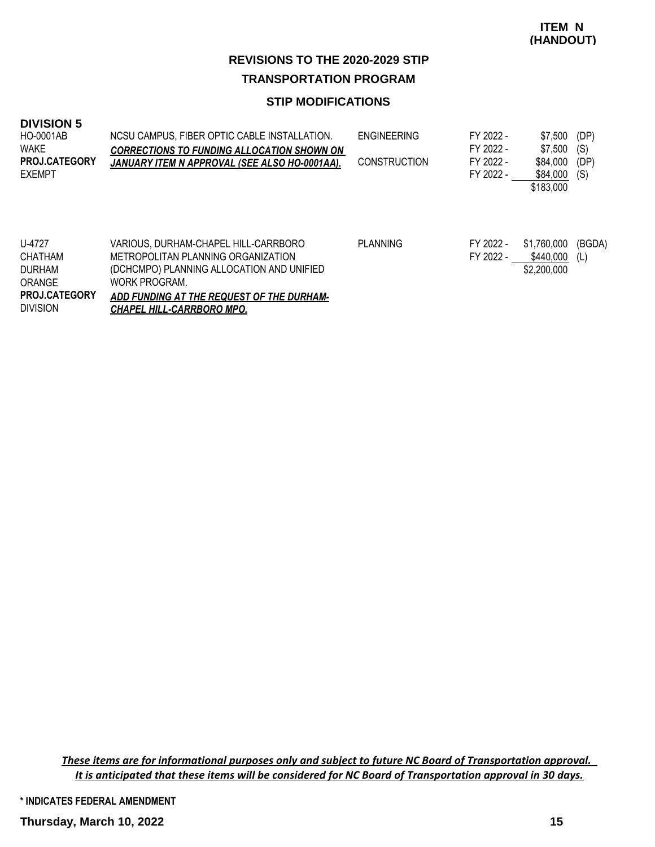#### **STIP MODIFICATIONS**

| <b>DIVISION 5</b> |  |
|-------------------|--|
|-------------------|--|

| <b>HO-0001AB</b><br>WAKE<br><b>PROJ.CATEGORY</b><br><b>EXEMPT</b>                              | NCSU CAMPUS. FIBER OPTIC CABLE INSTALLATION.<br><b>CORRECTIONS TO FUNDING ALLOCATION SHOWN ON</b><br>JANUARY ITEM N APPROVAL (SEE ALSO HO-0001AA).                                                                        | <b>ENGINEERING</b><br><b>CONSTRUCTION</b> | FY 2022 -<br>FY 2022 -<br>FY 2022 -<br>FY 2022 - | \$7,500<br>\$7.500<br>\$84,000<br>\$84,000 | (DP)<br>(S)<br>(DP)<br>(S) |
|------------------------------------------------------------------------------------------------|---------------------------------------------------------------------------------------------------------------------------------------------------------------------------------------------------------------------------|-------------------------------------------|--------------------------------------------------|--------------------------------------------|----------------------------|
|                                                                                                |                                                                                                                                                                                                                           |                                           |                                                  | \$183,000                                  |                            |
| U-4727<br><b>CHATHAM</b><br><b>DURHAM</b><br>ORANGE<br><b>PROJ.CATEGORY</b><br><b>DIVISION</b> | VARIOUS. DURHAM-CHAPEL HILL-CARRBORO<br>METROPOLITAN PLANNING ORGANIZATION<br>(DCHCMPO) PLANNING ALLOCATION AND UNIFIED<br>WORK PROGRAM.<br>ADD FUNDING AT THE REQUEST OF THE DURHAM-<br><b>CHAPEL HILL-CARRBORO MPO.</b> | <b>PLANNING</b>                           | FY 2022 -<br>FY 2022 -                           | \$1,760,000<br>\$440,000<br>\$2,200,000    | (BGDA)<br>(L)              |

*These items are for informational purposes only and subject to future NC Board of Transportation approval. It is anticipated that these items will be considered for NC Board of Transportation approval in 30 days.*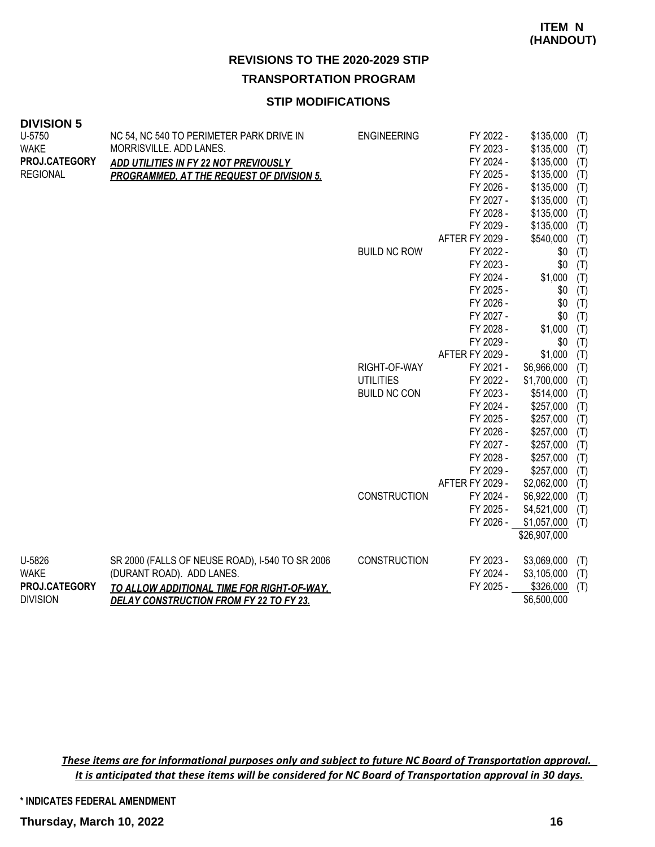# **REVISIONS TO THE 2020-2029 STIP**

**TRANSPORTATION PROGRAM**

#### **STIP MODIFICATIONS**

| U-5750          | NC 54, NC 540 TO PERIMETER PARK DRIVE IN         | <b>ENGINEERING</b>  | FY 2022 -       | \$135,000    | (T) |
|-----------------|--------------------------------------------------|---------------------|-----------------|--------------|-----|
| <b>WAKE</b>     | MORRISVILLE. ADD LANES.                          |                     | FY 2023 -       | \$135,000    | (T) |
| PROJ.CATEGORY   | ADD UTILITIES IN FY 22 NOT PREVIOUSLY            |                     | FY 2024 -       | \$135,000    | (T) |
| <b>REGIONAL</b> | <b>PROGRAMMED, AT THE REQUEST OF DIVISION 5.</b> |                     | FY 2025 -       | \$135,000    | (T) |
|                 |                                                  |                     | FY 2026 -       | \$135,000    | (T) |
|                 |                                                  |                     | FY 2027 -       | \$135,000    | (T) |
|                 |                                                  |                     | FY 2028 -       | \$135,000    | (T) |
|                 |                                                  |                     | FY 2029 -       | \$135,000    | (T) |
|                 |                                                  |                     | AFTER FY 2029 - | \$540,000    | (T) |
|                 |                                                  | <b>BUILD NC ROW</b> | FY 2022 -       | \$0          | (T) |
|                 |                                                  |                     | FY 2023 -       | \$0          | (T) |
|                 |                                                  |                     | FY 2024 -       | \$1,000      | (T) |
|                 |                                                  |                     | FY 2025 -       | \$0          | (T) |
|                 |                                                  |                     | FY 2026 -       | \$0          | (T) |
|                 |                                                  |                     | FY 2027 -       | \$0          | (T) |
|                 |                                                  |                     | FY 2028 -       | \$1,000      | (T) |
|                 |                                                  |                     | FY 2029 -       | \$0          | (T) |
|                 |                                                  |                     | AFTER FY 2029 - | \$1,000      | (T) |
|                 |                                                  | RIGHT-OF-WAY        | FY 2021 -       | \$6,966,000  | (T) |
|                 |                                                  | <b>UTILITIES</b>    | FY 2022 -       | \$1,700,000  | (T) |
|                 |                                                  | <b>BUILD NC CON</b> | FY 2023 -       | \$514,000    | (T) |
|                 |                                                  |                     | FY 2024 -       | \$257,000    | (T) |
|                 |                                                  |                     | FY 2025 -       | \$257,000    | (T) |
|                 |                                                  |                     | FY 2026 -       | \$257,000    | (T) |
|                 |                                                  |                     | FY 2027 -       | \$257,000    | (T) |
|                 |                                                  |                     | FY 2028 -       | \$257,000    | (T) |
|                 |                                                  |                     | FY 2029 -       | \$257,000    | (T) |
|                 |                                                  |                     | AFTER FY 2029 - | \$2,062,000  | (T) |
|                 |                                                  | <b>CONSTRUCTION</b> | FY 2024 -       | \$6,922,000  | (T) |
|                 |                                                  |                     | FY 2025 -       | \$4,521,000  | (T) |
|                 |                                                  |                     | FY 2026 -       | \$1,057,000  | (T) |
|                 |                                                  |                     |                 | \$26,907,000 |     |
| U-5826          | SR 2000 (FALLS OF NEUSE ROAD), I-540 TO SR 2006  | CONSTRUCTION        | FY 2023 -       | \$3,069,000  | (T) |
| <b>WAKE</b>     | (DURANT ROAD). ADD LANES.                        |                     | FY 2024 -       | \$3,105,000  | (T) |
| PROJ.CATEGORY   | TO ALLOW ADDITIONAL TIME FOR RIGHT-OF-WAY,       |                     | FY 2025 -       | \$326,000    | (T) |
| <b>DIVISION</b> | <b>DELAY CONSTRUCTION FROM FY 22 TO FY 23.</b>   |                     |                 | \$6,500,000  |     |

*These items are for informational purposes only and subject to future NC Board of Transportation approval. It is anticipated that these items will be considered for NC Board of Transportation approval in 30 days.*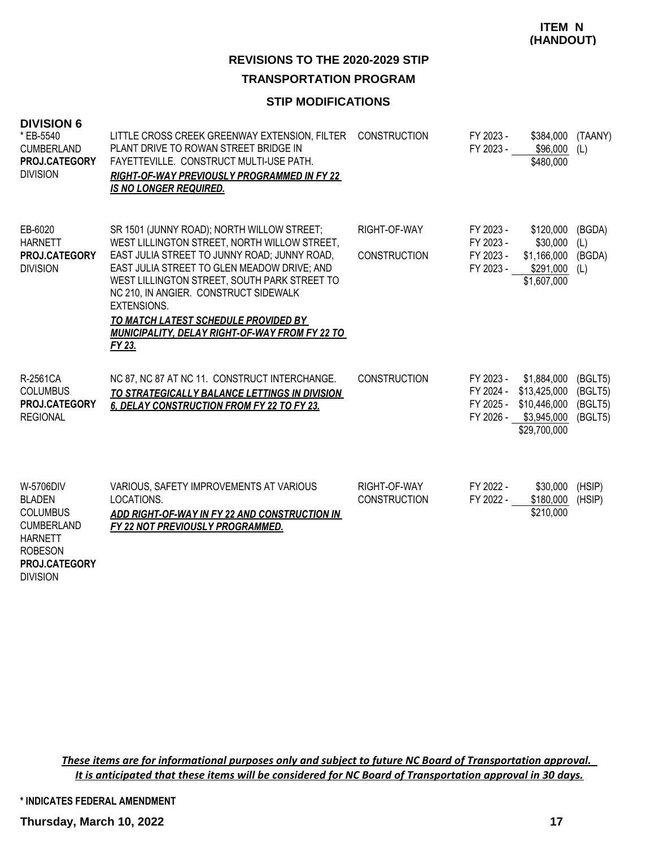**ITEM N (HANDOUT)**

#### **REVISIONS TO THE 2020-2029 STIP TRANSPORTATION PROGRAM**

#### **STIP MODIFICATIONS**

| <b>DIVISION 6</b><br>* EB-5540<br><b>CUMBERLAND</b><br>PROJ.CATEGORY<br><b>DIVISION</b>                                                    | LITTLE CROSS CREEK GREENWAY EXTENSION, FILTER<br>PLANT DRIVE TO ROWAN STREET BRIDGE IN<br>FAYETTEVILLE. CONSTRUCT MULTI-USE PATH.<br>RIGHT-OF-WAY PREVIOUSLY PROGRAMMED IN FY 22<br><b>IS NO LONGER REQUIRED.</b>                                                                                                                                                                                            | <b>CONSTRUCTION</b>                 | FY 2023 -<br>FY 2023 -                           | \$384,000<br>\$96,000<br>\$480,000                                                   | (TAANY)<br>(L)                           |
|--------------------------------------------------------------------------------------------------------------------------------------------|--------------------------------------------------------------------------------------------------------------------------------------------------------------------------------------------------------------------------------------------------------------------------------------------------------------------------------------------------------------------------------------------------------------|-------------------------------------|--------------------------------------------------|--------------------------------------------------------------------------------------|------------------------------------------|
| EB-6020<br><b>HARNETT</b><br>PROJ.CATEGORY<br><b>DIVISION</b>                                                                              | SR 1501 (JUNNY ROAD); NORTH WILLOW STREET;<br>WEST LILLINGTON STREET, NORTH WILLOW STREET,<br>EAST JULIA STREET TO JUNNY ROAD; JUNNY ROAD,<br>EAST JULIA STREET TO GLEN MEADOW DRIVE; AND<br>WEST LILLINGTON STREET, SOUTH PARK STREET TO<br>NC 210, IN ANGIER. CONSTRUCT SIDEWALK<br><b>EXTENSIONS.</b><br>TO MATCH LATEST SCHEDULE PROVIDED BY<br>MUNICIPALITY, DELAY RIGHT-OF-WAY FROM FY 22 TO<br>FY 23. | RIGHT-OF-WAY<br><b>CONSTRUCTION</b> | FY 2023 -<br>FY 2023 -<br>FY 2023 -<br>FY 2023 - | \$120,000<br>\$30,000<br>\$1,166,000 (BGDA)<br>$$291,000$ (L)<br>\$1,607,000         | (BGDA)<br>(L)                            |
| R-2561CA<br><b>COLUMBUS</b><br>PROJ.CATEGORY<br><b>REGIONAL</b>                                                                            | NC 87, NC 87 AT NC 11. CONSTRUCT INTERCHANGE.<br>TO STRATEGICALLY BALANCE LETTINGS IN DIVISION<br>6. DELAY CONSTRUCTION FROM FY 22 TO FY 23.                                                                                                                                                                                                                                                                 | <b>CONSTRUCTION</b>                 | FY 2023 -<br>FY 2025 -<br>FY 2026 -              | \$1,884,000<br>FY 2024 - \$13,425,000<br>\$10,446,000<br>\$3,945,000<br>\$29,700,000 | (BGLT5)<br>(BGLT5)<br>(BGLT5)<br>(BGLT5) |
| W-5706DIV<br><b>BLADEN</b><br><b>COLUMBUS</b><br><b>CUMBERLAND</b><br><b>HARNETT</b><br><b>ROBESON</b><br>PROJ.CATEGORY<br><b>DIVISION</b> | VARIOUS, SAFETY IMPROVEMENTS AT VARIOUS<br>LOCATIONS.<br>ADD RIGHT-OF-WAY IN FY 22 AND CONSTRUCTION IN<br>FY 22 NOT PREVIOUSLY PROGRAMMED.                                                                                                                                                                                                                                                                   | RIGHT-OF-WAY<br><b>CONSTRUCTION</b> | FY 2022 -<br>FY 2022 -                           | \$30,000<br>\$180,000<br>\$210,000                                                   | (HSIP)<br>(HSIP)                         |

*These items are for informational purposes only and subject to future NC Board of Transportation approval. It is anticipated that these items will be considered for NC Board of Transportation approval in 30 days.*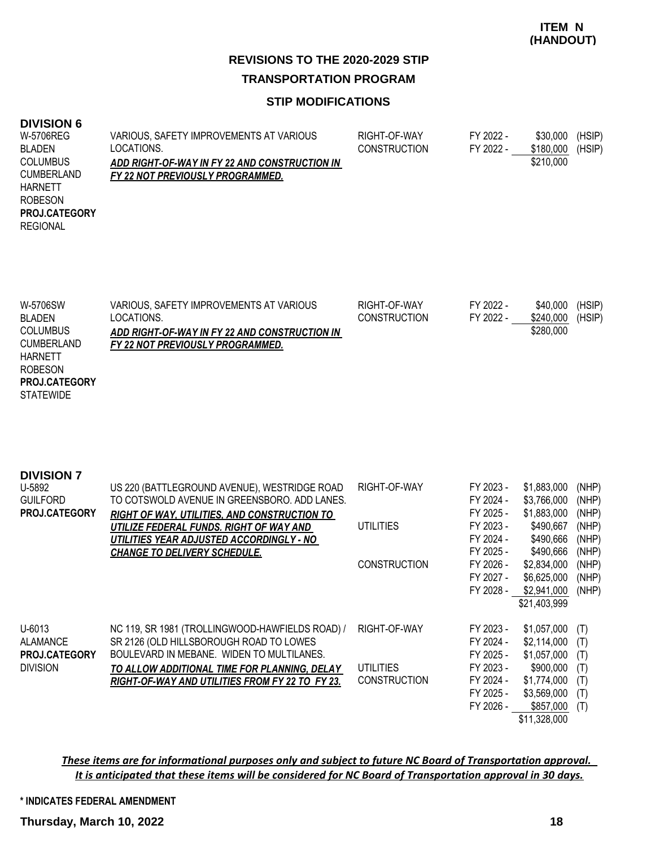#### **STIP MODIFICATIONS**

#### **DIVISION 6**

| --------             |                                               |                     |           |           |        |
|----------------------|-----------------------------------------------|---------------------|-----------|-----------|--------|
| W-5706REG            | VARIOUS, SAFETY IMPROVEMENTS AT VARIOUS       | RIGHT-OF-WAY        | FY 2022 - | \$30,000  | (HSIP) |
| BLADEN               | LOCATIONS.                                    | <b>CONSTRUCTION</b> | FY 2022 - | \$180,000 | (HSIP) |
| <b>COLUMBUS</b>      | ADD RIGHT-OF-WAY IN FY 22 AND CONSTRUCTION IN |                     |           | \$210,000 |        |
| <b>CUMBERLAND</b>    | FY 22 NOT PREVIOUSLY PROGRAMMED.              |                     |           |           |        |
| <b>HARNETT</b>       |                                               |                     |           |           |        |
| <b>ROBESON</b>       |                                               |                     |           |           |        |
| <b>PROJ.CATEGORY</b> |                                               |                     |           |           |        |
| <b>REGIONAL</b>      |                                               |                     |           |           |        |
|                      |                                               |                     |           |           |        |
|                      |                                               |                     |           |           |        |

| W-5706SW             | VARIOUS, SAFETY IMPROVEMENTS AT VARIOUS       | RIGHT-OF-WAY        | FY 2022 - | \$40,000  | (HSIP) |
|----------------------|-----------------------------------------------|---------------------|-----------|-----------|--------|
| <b>BLADEN</b>        | LOCATIONS.                                    | <b>CONSTRUCTION</b> | FY 2022 - | \$240,000 | (HSIP) |
| <b>COLUMBUS</b>      | ADD RIGHT-OF-WAY IN FY 22 AND CONSTRUCTION IN |                     |           | \$280,000 |        |
| <b>CUMBERLAND</b>    | FY 22 NOT PREVIOUSLY PROGRAMMED.              |                     |           |           |        |
| <b>HARNETT</b>       |                                               |                     |           |           |        |
| <b>ROBESON</b>       |                                               |                     |           |           |        |
| <b>PROJ.CATEGORY</b> |                                               |                     |           |           |        |
| <b>STATEWIDE</b>     |                                               |                     |           |           |        |
|                      |                                               |                     |           |           |        |

| <b>DIVISION 7</b><br>U-5892<br><b>GUILFORD</b><br>PROJ.CATEGORY          | US 220 (BATTLEGROUND AVENUE), WESTRIDGE ROAD<br>TO COTSWOLD AVENUE IN GREENSBORO. ADD LANES.<br><b>RIGHT OF WAY, UTILITIES, AND CONSTRUCTION TO</b><br>UTILIZE FEDERAL FUNDS. RIGHT OF WAY AND<br>UTILITIES YEAR ADJUSTED ACCORDINGLY - NO<br><b>CHANGE TO DELIVERY SCHEDULE.</b> | RIGHT-OF-WAY<br>UTILITIES                        | FY 2023 -<br>FY 2024 -<br>FY 2025 -<br>FY 2023 -<br>FY 2024 -<br>FY 2025 -              | \$1,883,000<br>\$3,766,000<br>\$1,883,000<br>\$490,667<br>\$490,666<br>\$490,666                                  | (NHP)<br>(NHP)<br>(NHP)<br>(NHP)<br>(NHP)<br>(NHP) |
|--------------------------------------------------------------------------|-----------------------------------------------------------------------------------------------------------------------------------------------------------------------------------------------------------------------------------------------------------------------------------|--------------------------------------------------|-----------------------------------------------------------------------------------------|-------------------------------------------------------------------------------------------------------------------|----------------------------------------------------|
|                                                                          |                                                                                                                                                                                                                                                                                   | <b>CONSTRUCTION</b>                              | FY 2026 -<br>FY 2027 -<br>FY 2028 -                                                     | \$2,834,000<br>\$6,625,000<br>\$2,941,000<br>\$21,403,999                                                         | (NHP)<br>(NHP)<br>(NHP)                            |
| $U - 6013$<br><b>ALAMANCE</b><br><b>PROJ.CATEGORY</b><br><b>DIVISION</b> | NC 119, SR 1981 (TROLLINGWOOD-HAWFIELDS ROAD) /<br>SR 2126 (OLD HILLSBOROUGH ROAD TO LOWES<br>BOULEVARD IN MEBANE. WIDEN TO MULTILANES.<br>TO ALLOW ADDITIONAL TIME FOR PLANNING, DELAY<br>RIGHT-OF-WAY AND UTILITIES FROM FY 22 TO FY 23.                                        | RIGHT-OF-WAY<br>UTILITIES<br><b>CONSTRUCTION</b> | FY 2023 -<br>FY 2024 -<br>FY 2025 -<br>FY 2023 -<br>FY 2024 -<br>FY 2025 -<br>FY 2026 - | \$1,057,000<br>\$2,114,000<br>\$1,057,000<br>\$900,000<br>\$1,774,000<br>\$3,569,000<br>\$857,000<br>\$11,328,000 | (T)<br>(T)<br>(T)<br>(T)<br>(T)<br>(T)<br>(T)      |

#### *These items are for informational purposes only and subject to future NC Board of Transportation approval. It is anticipated that these items will be considered for NC Board of Transportation approval in 30 days.*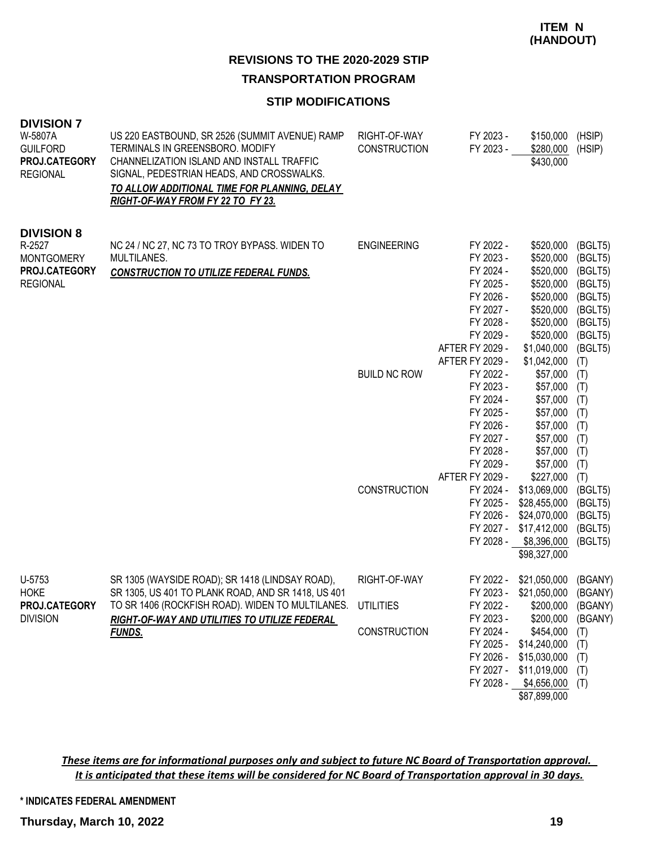# **REVISIONS TO THE 2020-2029 STIP**

### **TRANSPORTATION PROGRAM**

#### **STIP MODIFICATIONS**

| <b>DIVISION 7</b><br>W-5807A<br><b>GUILFORD</b><br>PROJ.CATEGORY<br><b>REGIONAL</b>  | US 220 EASTBOUND, SR 2526 (SUMMIT AVENUE) RAMP<br>TERMINALS IN GREENSBORO. MODIFY<br>CHANNELIZATION ISLAND AND INSTALL TRAFFIC<br>SIGNAL, PEDESTRIAN HEADS, AND CROSSWALKS.<br>TO ALLOW ADDITIONAL TIME FOR PLANNING, DELAY<br>RIGHT-OF-WAY FROM FY 22 TO FY 23. | RIGHT-OF-WAY<br><b>CONSTRUCTION</b>              | FY 2023 -<br>FY 2023 -                                                                                                  | \$150,000<br>\$280,000<br>\$430,000                                                                                                          | (HSIP)<br>(HSIP)                                                                                |
|--------------------------------------------------------------------------------------|------------------------------------------------------------------------------------------------------------------------------------------------------------------------------------------------------------------------------------------------------------------|--------------------------------------------------|-------------------------------------------------------------------------------------------------------------------------|----------------------------------------------------------------------------------------------------------------------------------------------|-------------------------------------------------------------------------------------------------|
| <b>DIVISION 8</b><br>R-2527<br><b>MONTGOMERY</b><br>PROJ.CATEGORY<br><b>REGIONAL</b> | NC 24 / NC 27, NC 73 TO TROY BYPASS. WIDEN TO<br>MULTILANES.<br><b>CONSTRUCTION TO UTILIZE FEDERAL FUNDS.</b>                                                                                                                                                    | <b>ENGINEERING</b>                               | FY 2022 -<br>FY 2023 -<br>FY 2024 -<br>FY 2025 -<br>FY 2026 -<br>FY 2027 -<br>FY 2028 -<br>FY 2029 -<br>AFTER FY 2029 - | \$520,000<br>\$520,000<br>\$520,000<br>\$520,000<br>\$520,000<br>\$520,000<br>\$520,000<br>\$520,000<br>\$1,040,000                          | (BGLT5)<br>(BGLT5)<br>(BGLT5)<br>(BGLT5)<br>(BGLT5)<br>(BGLT5)<br>(BGLT5)<br>(BGLT5)<br>(BGLT5) |
|                                                                                      |                                                                                                                                                                                                                                                                  | <b>BUILD NC ROW</b>                              | AFTER FY 2029 -<br>FY 2022 -<br>FY 2023 -<br>FY 2024 -<br>FY 2025 -<br>FY 2026 -<br>FY 2027 -<br>FY 2028 -<br>FY 2029 - | \$1,042,000<br>\$57,000<br>\$57,000<br>\$57,000<br>\$57,000<br>\$57,000<br>\$57,000<br>\$57,000<br>\$57,000                                  | (T)<br>(T)<br>(T)<br>(T)<br>(T)<br>(T)<br>(T)<br>(T)<br>(T)                                     |
|                                                                                      |                                                                                                                                                                                                                                                                  | <b>CONSTRUCTION</b>                              | AFTER FY 2029 -<br>FY 2024 -<br>FY 2025 -<br>FY 2026 -<br>FY 2027 -<br>FY 2028 -                                        | \$227,000<br>\$13,069,000<br>\$28,455,000<br>\$24,070,000<br>\$17,412,000<br>\$8,396,000<br>\$98,327,000                                     | (T)<br>(BGLT5)<br>(BGLT5)<br>(BGLT5)<br>(BGLT5)<br>(BGLT5)                                      |
| U-5753<br><b>HOKE</b><br>PROJ.CATEGORY<br><b>DIVISION</b>                            | SR 1305 (WAYSIDE ROAD); SR 1418 (LINDSAY ROAD),<br>SR 1305, US 401 TO PLANK ROAD, AND SR 1418, US 401<br>TO SR 1406 (ROCKFISH ROAD). WIDEN TO MULTILANES.<br>RIGHT-OF-WAY AND UTILITIES TO UTILIZE FEDERAL<br><b>FUNDS.</b>                                      | RIGHT-OF-WAY<br><b>UTILITIES</b><br>CONSTRUCTION | FY 2022 -<br>FY 2022 -<br>FY 2023 -<br>FY 2024 -<br>FY 2025 -<br>FY 2026 -<br>FY 2027 -<br>FY 2028 -                    | \$21,050,000<br>FY 2023 - \$21,050,000<br>\$200,000<br>\$200,000<br>\$454,000<br>\$14,240,000<br>\$15,030,000<br>\$11,019,000<br>\$4,656,000 | (BGANY)<br>(BGANY)<br>(BGANY)<br>(BGANY)<br>(T)<br>(T)<br>(T)<br>(T)<br>(T)                     |

*These items are for informational purposes only and subject to future NC Board of Transportation approval. It is anticipated that these items will be considered for NC Board of Transportation approval in 30 days.*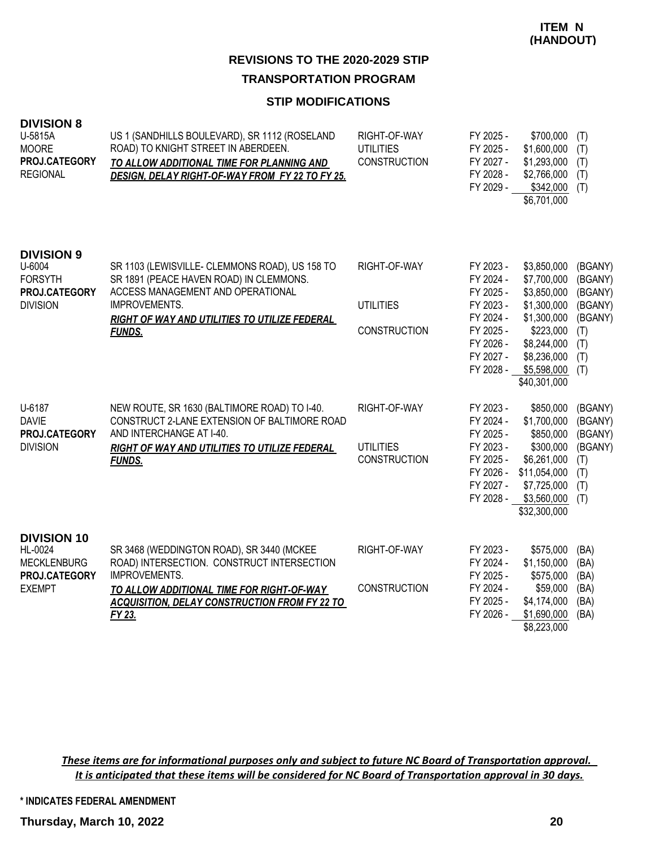#### **STIP MODIFICATIONS**

| <b>DIVISION 8</b><br>U-5815A<br><b>MOORE</b><br>PROJ.CATEGORY<br><b>REGIONAL</b>      | US 1 (SANDHILLS BOULEVARD), SR 1112 (ROSELAND<br>ROAD) TO KNIGHT STREET IN ABERDEEN.<br>TO ALLOW ADDITIONAL TIME FOR PLANNING AND<br>DESIGN, DELAY RIGHT-OF-WAY FROM FY 22 TO FY 25.                                           | RIGHT-OF-WAY<br><b>UTILITIES</b><br><b>CONSTRUCTION</b> | FY 2025 -<br>FY 2025 -<br>FY 2027 -<br>FY 2028 -<br>FY 2029 -                                                     | \$700,000<br>\$1,600,000<br>\$1,293,000<br>\$2,766,000<br>\$342,000<br>\$6,701,000                                                                | (T)<br>(T)<br>(T)<br>(T)<br>(T)                                                 |
|---------------------------------------------------------------------------------------|--------------------------------------------------------------------------------------------------------------------------------------------------------------------------------------------------------------------------------|---------------------------------------------------------|-------------------------------------------------------------------------------------------------------------------|---------------------------------------------------------------------------------------------------------------------------------------------------|---------------------------------------------------------------------------------|
| <b>DIVISION 9</b><br>U-6004<br><b>FORSYTH</b><br>PROJ.CATEGORY<br><b>DIVISION</b>     | SR 1103 (LEWISVILLE- CLEMMONS ROAD), US 158 TO<br>SR 1891 (PEACE HAVEN ROAD) IN CLEMMONS.<br>ACCESS MANAGEMENT AND OPERATIONAL<br>IMPROVEMENTS.<br>RIGHT OF WAY AND UTILITIES TO UTILIZE FEDERAL<br><b>FUNDS.</b>              | RIGHT-OF-WAY<br><b>UTILITIES</b><br><b>CONSTRUCTION</b> | FY 2023 -<br>FY 2024 -<br>FY 2025 -<br>FY 2023 -<br>FY 2024 -<br>FY 2025 -<br>FY 2026 -<br>FY 2027 -<br>FY 2028 - | \$3,850,000<br>\$7,700,000<br>\$3,850,000<br>\$1,300,000<br>\$1,300,000<br>\$223,000<br>\$8,244,000<br>\$8,236,000<br>\$5,598,000<br>\$40,301,000 | (BGANY)<br>(BGANY)<br>(BGANY)<br>(BGANY)<br>(BGANY)<br>(T)<br>(T)<br>(T)<br>(T) |
| U-6187<br><b>DAVIE</b><br>PROJ.CATEGORY<br><b>DIVISION</b>                            | NEW ROUTE, SR 1630 (BALTIMORE ROAD) TO I-40.<br>CONSTRUCT 2-LANE EXTENSION OF BALTIMORE ROAD<br>AND INTERCHANGE AT I-40.<br>RIGHT OF WAY AND UTILITIES TO UTILIZE FEDERAL<br><b>FUNDS.</b>                                     | RIGHT-OF-WAY<br><b>UTILITIES</b><br><b>CONSTRUCTION</b> | FY 2023 -<br>FY 2024 -<br>FY 2025 -<br>FY 2023 -<br>FY 2025 -<br>FY 2026 -<br>FY 2027 -                           | \$850,000<br>\$1,700,000<br>\$850,000<br>\$300,000<br>\$6,261,000<br>\$11,054,000<br>\$7,725,000<br>FY 2028 - \$3,560,000 (T)<br>\$32,300,000     | (BGANY)<br>(BGANY)<br>(BGANY)<br>(BGANY)<br>(T)<br>(T)<br>(T)                   |
| <b>DIVISION 10</b><br>HL-0024<br><b>MECKLENBURG</b><br>PROJ.CATEGORY<br><b>EXEMPT</b> | SR 3468 (WEDDINGTON ROAD), SR 3440 (MCKEE<br>ROAD) INTERSECTION. CONSTRUCT INTERSECTION<br><b>IMPROVEMENTS.</b><br>TO ALLOW ADDITIONAL TIME FOR RIGHT-OF-WAY<br><b>ACQUISITION, DELAY CONSTRUCTION FROM FY 22 TO</b><br>FY 23. | RIGHT-OF-WAY<br><b>CONSTRUCTION</b>                     | FY 2023 -<br>FY 2024 -<br>FY 2025 -<br>FY 2024 -<br>FY 2025 -<br>FY 2026 -                                        | \$575,000<br>\$1,150,000<br>\$575,000<br>\$59,000<br>\$4,174,000<br>\$1,690,000<br>\$8,223,000                                                    | (BA)<br>(BA)<br>(BA)<br>(BA)<br>(BA)<br>(BA)                                    |

*These items are for informational purposes only and subject to future NC Board of Transportation approval. It is anticipated that these items will be considered for NC Board of Transportation approval in 30 days.*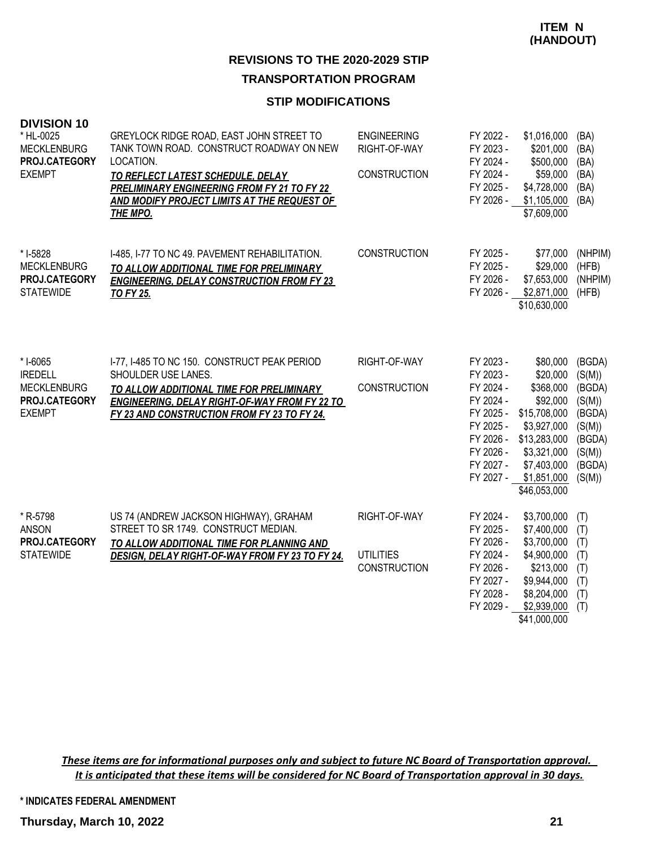#### **STIP MODIFICATIONS**

| <b>DIVISION 10</b><br>* HL-0025<br><b>MECKLENBURG</b><br>PROJ.CATEGORY<br><b>EXEMPT</b> | GREYLOCK RIDGE ROAD, EAST JOHN STREET TO<br>TANK TOWN ROAD. CONSTRUCT ROADWAY ON NEW<br>LOCATION.<br>TO REFLECT LATEST SCHEDULE, DELAY<br>PRELIMINARY ENGINEERING FROM FY 21 TO FY 22<br>AND MODIFY PROJECT LIMITS AT THE REQUEST OF<br><b>THE MPO.</b> | <b>ENGINEERING</b><br>RIGHT-OF-WAY<br>CONSTRUCTION | FY 2022 -<br>FY 2023 -<br>FY 2024 -<br>FY 2024 -<br>FY 2025 -<br>FY 2026 -                                                     | \$1,016,000<br>\$201,000<br>\$500,000<br>\$59,000<br>\$4,728,000<br>\$1,105,000<br>\$7,609,000                                                            | (BA)<br>(BA)<br>(BA)<br>(BA)<br>(BA)<br>(BA)                                                     |
|-----------------------------------------------------------------------------------------|---------------------------------------------------------------------------------------------------------------------------------------------------------------------------------------------------------------------------------------------------------|----------------------------------------------------|--------------------------------------------------------------------------------------------------------------------------------|-----------------------------------------------------------------------------------------------------------------------------------------------------------|--------------------------------------------------------------------------------------------------|
| * I-5828<br><b>MECKLENBURG</b><br>PROJ.CATEGORY<br><b>STATEWIDE</b>                     | I-485, I-77 TO NC 49. PAVEMENT REHABILITATION.<br>TO ALLOW ADDITIONAL TIME FOR PRELIMINARY<br><b>ENGINEERING, DELAY CONSTRUCTION FROM FY 23</b><br><b>TO FY 25.</b>                                                                                     | <b>CONSTRUCTION</b>                                | FY 2025 -<br>FY 2025 -<br>FY 2026 -<br>FY 2026 -                                                                               | \$77,000<br>\$29,000<br>\$7,653,000<br>\$2,871,000<br>\$10,630,000                                                                                        | (NHPIM)<br>(HFB)<br>(NHPIM)<br>(HFB)                                                             |
| * I-6065<br><b>IREDELL</b><br><b>MECKLENBURG</b><br>PROJ.CATEGORY<br><b>EXEMPT</b>      | I-77, I-485 TO NC 150. CONSTRUCT PEAK PERIOD<br>SHOULDER USE LANES.<br>TO ALLOW ADDITIONAL TIME FOR PRELIMINARY<br><b>ENGINEERING, DELAY RIGHT-OF-WAY FROM FY 22 TO</b><br>FY 23 AND CONSTRUCTION FROM FY 23 TO FY 24.                                  | RIGHT-OF-WAY<br><b>CONSTRUCTION</b>                | FY 2023 -<br>FY 2023 -<br>FY 2024 -<br>FY 2024 -<br>FY 2025 -<br>FY 2025 -<br>FY 2026 -<br>FY 2026 -<br>FY 2027 -<br>FY 2027 - | \$80,000<br>\$20,000<br>\$368,000<br>\$92,000<br>\$15,708,000<br>\$3,927,000<br>\$13,283,000<br>\$3,321,000<br>\$7,403,000<br>\$1,851,000<br>\$46,053,000 | (BGDA)<br>(S(M))<br>(BGDA)<br>(S(M))<br>(BGDA)<br>(S(M))<br>(BGDA)<br>(S(M))<br>(BGDA)<br>(S(M)) |
| * R-5798<br><b>ANSON</b><br>PROJ.CATEGORY<br><b>STATEWIDE</b>                           | US 74 (ANDREW JACKSON HIGHWAY), GRAHAM<br>STREET TO SR 1749. CONSTRUCT MEDIAN.<br>TO ALLOW ADDITIONAL TIME FOR PLANNING AND<br>DESIGN, DELAY RIGHT-OF-WAY FROM FY 23 TO FY 24.                                                                          | RIGHT-OF-WAY<br><b>UTILITIES</b><br>CONSTRUCTION   | FY 2024 -<br>FY 2025 -<br>FY 2026 -<br>FY 2024 -<br>FY 2026 -<br>FY 2027 -<br>FY 2028 -<br>FY 2029 -                           | \$3,700,000<br>\$7,400,000<br>\$3,700,000<br>\$4,900,000<br>\$213,000<br>\$9,944,000<br>\$8,204,000<br>\$2,939,000<br>\$41,000,000                        | (T)<br>(T)<br>(T)<br>(T)<br>(T)<br>(T)<br>(T)<br>(T)                                             |

*These items are for informational purposes only and subject to future NC Board of Transportation approval. It is anticipated that these items will be considered for NC Board of Transportation approval in 30 days.*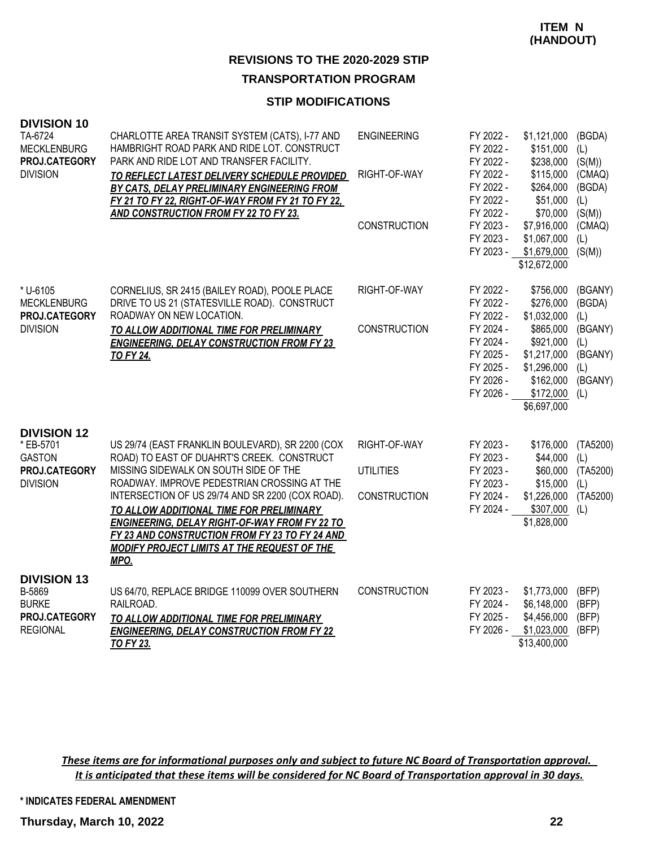## **REVISIONS TO THE 2020-2029 STIP**

#### **TRANSPORTATION PROGRAM**

#### **STIP MODIFICATIONS**

| <b>DIVISION 10</b><br>TA-6724<br><b>MECKLENBURG</b><br>PROJ.CATEGORY<br><b>DIVISION</b> | CHARLOTTE AREA TRANSIT SYSTEM (CATS), I-77 AND<br>HAMBRIGHT ROAD PARK AND RIDE LOT. CONSTRUCT<br>PARK AND RIDE LOT AND TRANSFER FACILITY.<br>TO REFLECT LATEST DELIVERY SCHEDULE PROVIDED<br>BY CATS, DELAY PRELIMINARY ENGINEERING FROM<br>FY 21 TO FY 22, RIGHT-OF-WAY FROM FY 21 TO FY 22,<br>AND CONSTRUCTION FROM FY 22 TO FY 23.                                                                                                                         | <b>ENGINEERING</b><br>RIGHT-OF-WAY<br><b>CONSTRUCTION</b> | FY 2022 -<br>FY 2022 -<br>FY 2022 -<br>FY 2022 -<br>FY 2022 -<br>FY 2022 -<br>FY 2022 -<br>FY 2023 -<br>FY 2023 -<br>FY 2023 - | \$1,121,000<br>\$151,000<br>\$238,000<br>\$115,000<br>\$264,000<br>\$51,000<br>\$70,000<br>\$7,916,000<br>\$1,067,000<br>\$1,679,000<br>\$12,672,000 | (BGDA)<br>(L)<br>(S(M))<br>(CMAQ)<br>(BGDA)<br>(L)<br>(S(M))<br>(CMAQ)<br>(L)<br>(S(M)) |
|-----------------------------------------------------------------------------------------|----------------------------------------------------------------------------------------------------------------------------------------------------------------------------------------------------------------------------------------------------------------------------------------------------------------------------------------------------------------------------------------------------------------------------------------------------------------|-----------------------------------------------------------|--------------------------------------------------------------------------------------------------------------------------------|------------------------------------------------------------------------------------------------------------------------------------------------------|-----------------------------------------------------------------------------------------|
| * U-6105<br><b>MECKLENBURG</b><br>PROJ.CATEGORY<br><b>DIVISION</b>                      | CORNELIUS, SR 2415 (BAILEY ROAD), POOLE PLACE<br>DRIVE TO US 21 (STATESVILLE ROAD). CONSTRUCT<br>ROADWAY ON NEW LOCATION.<br>TO ALLOW ADDITIONAL TIME FOR PRELIMINARY<br><b>ENGINEERING, DELAY CONSTRUCTION FROM FY 23</b><br><b>TO FY 24.</b>                                                                                                                                                                                                                 | RIGHT-OF-WAY<br><b>CONSTRUCTION</b>                       | FY 2022 -<br>FY 2022 -<br>FY 2022 -<br>FY 2024 -<br>FY 2024 -<br>FY 2025 -<br>FY 2025 -<br>FY 2026 -<br>FY 2026 -              | \$756,000<br>\$276,000<br>\$1,032,000<br>\$865,000<br>\$921,000<br>\$1,217,000<br>\$1,296,000<br>\$162,000<br>\$172,000<br>\$6,697,000               | (BGANY)<br>(BGDA)<br>(L)<br>(BGANY)<br>(L)<br>(BGANY)<br>(L)<br>(BGANY)<br>(L)          |
| <b>DIVISION 12</b><br>* EB-5701<br><b>GASTON</b><br>PROJ.CATEGORY<br><b>DIVISION</b>    | US 29/74 (EAST FRANKLIN BOULEVARD), SR 2200 (COX<br>ROAD) TO EAST OF DUAHRT'S CREEK. CONSTRUCT<br>MISSING SIDEWALK ON SOUTH SIDE OF THE<br>ROADWAY. IMPROVE PEDESTRIAN CROSSING AT THE<br>INTERSECTION OF US 29/74 AND SR 2200 (COX ROAD).<br>TO ALLOW ADDITIONAL TIME FOR PRELIMINARY<br><b>ENGINEERING, DELAY RIGHT-OF-WAY FROM FY 22 TO</b><br>FY 23 AND CONSTRUCTION FROM FY 23 TO FY 24 AND<br><b>MODIFY PROJECT LIMITS AT THE REQUEST OF THE</b><br>MPO. | RIGHT-OF-WAY<br><b>UTILITIES</b><br><b>CONSTRUCTION</b>   | FY 2023 -<br>FY 2023 -<br>FY 2023 -<br>FY 2023 -<br>FY 2024 -<br>FY 2024 -                                                     | \$176,000<br>\$44,000<br>\$60,000<br>\$15,000<br>\$1,226,000<br>$$307,000$ (L)<br>\$1,828,000                                                        | (TA5200)<br>(L)<br>(TA5200)<br>(L)<br>(TA5200)                                          |
| <b>DIVISION 13</b><br>B-5869<br><b>BURKE</b><br>PROJ.CATEGORY<br><b>REGIONAL</b>        | US 64/70, REPLACE BRIDGE 110099 OVER SOUTHERN<br>RAILROAD.<br>TO ALLOW ADDITIONAL TIME FOR PRELIMINARY<br><b>ENGINEERING, DELAY CONSTRUCTION FROM FY 22</b><br><b>TO FY 23.</b>                                                                                                                                                                                                                                                                                | CONSTRUCTION                                              | FY 2023 -<br>FY 2024 -<br>FY 2025 -<br>FY 2026 -                                                                               | \$1,773,000<br>\$6,148,000<br>\$4,456,000<br>\$1,023,000<br>\$13,400,000                                                                             | (BFP)<br>(BFP)<br>(BFP)<br>(BFP)                                                        |

*These items are for informational purposes only and subject to future NC Board of Transportation approval. It is anticipated that these items will be considered for NC Board of Transportation approval in 30 days.*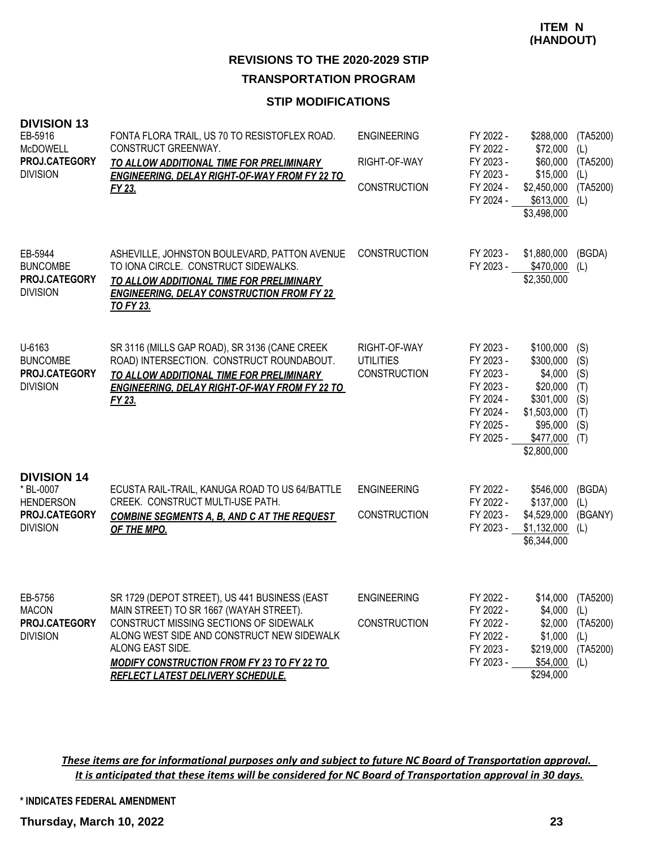#### **STIP MODIFICATIONS**

| <b>DIVISION 13</b><br>EB-5916<br><b>McDOWELL</b><br>PROJ.CATEGORY<br><b>DIVISION</b>    | FONTA FLORA TRAIL, US 70 TO RESISTOFLEX ROAD.<br>CONSTRUCT GREENWAY.<br>TO ALLOW ADDITIONAL TIME FOR PRELIMINARY<br><b>ENGINEERING, DELAY RIGHT-OF-WAY FROM FY 22 TO</b><br>FY 23.                                                                                                             | <b>ENGINEERING</b><br>RIGHT-OF-WAY<br><b>CONSTRUCTION</b> | FY 2022 -<br>FY 2022 -<br>FY 2023 -<br>FY 2023 -<br>FY 2024 -<br>FY 2024 -                           | \$288,000<br>\$72,000<br>\$60,000<br>\$15,000<br>\$2,450,000<br>\$613,000<br>\$3,498,000                          | (TA5200)<br>(L)<br>(TA5200)<br>(L)<br>(TA5200)<br>(L)   |
|-----------------------------------------------------------------------------------------|------------------------------------------------------------------------------------------------------------------------------------------------------------------------------------------------------------------------------------------------------------------------------------------------|-----------------------------------------------------------|------------------------------------------------------------------------------------------------------|-------------------------------------------------------------------------------------------------------------------|---------------------------------------------------------|
| EB-5944<br><b>BUNCOMBE</b><br><b>PROJ.CATEGORY</b><br><b>DIVISION</b>                   | ASHEVILLE, JOHNSTON BOULEVARD, PATTON AVENUE<br>TO IONA CIRCLE. CONSTRUCT SIDEWALKS.<br>TO ALLOW ADDITIONAL TIME FOR PRELIMINARY<br><b>ENGINEERING, DELAY CONSTRUCTION FROM FY 22</b><br><b>TO FY 23.</b>                                                                                      | <b>CONSTRUCTION</b>                                       | FY 2023 -<br>FY 2023 -                                                                               | \$1,880,000<br>\$470,000<br>\$2,350,000                                                                           | (BGDA)<br>(L)                                           |
| U-6163<br><b>BUNCOMBE</b><br>PROJ.CATEGORY<br><b>DIVISION</b>                           | SR 3116 (MILLS GAP ROAD), SR 3136 (CANE CREEK<br>ROAD) INTERSECTION. CONSTRUCT ROUNDABOUT.<br>TO ALLOW ADDITIONAL TIME FOR PRELIMINARY<br><b>ENGINEERING, DELAY RIGHT-OF-WAY FROM FY 22 TO</b><br>FY 23.                                                                                       | RIGHT-OF-WAY<br><b>UTILITIES</b><br><b>CONSTRUCTION</b>   | FY 2023 -<br>FY 2023 -<br>FY 2023 -<br>FY 2023 -<br>FY 2024 -<br>FY 2024 -<br>FY 2025 -<br>FY 2025 - | \$100,000<br>\$300,000<br>\$4,000<br>\$20,000<br>\$301,000<br>\$1,503,000<br>\$95,000<br>\$477,000<br>\$2,800,000 | (S)<br>(S)<br>(S)<br>(T)<br>(S)<br>(T)<br>(S)<br>(T)    |
| <b>DIVISION 14</b><br>* BL-0007<br><b>HENDERSON</b><br>PROJ.CATEGORY<br><b>DIVISION</b> | ECUSTA RAIL-TRAIL, KANUGA ROAD TO US 64/BATTLE<br>CREEK. CONSTRUCT MULTI-USE PATH.<br><b>COMBINE SEGMENTS A. B. AND C AT THE REQUEST</b><br>OF THE MPO.                                                                                                                                        | <b>ENGINEERING</b><br><b>CONSTRUCTION</b>                 | FY 2022 -<br>FY 2022 -<br>FY 2023 -<br>FY 2023 -                                                     | \$546,000<br>\$137,000<br>\$4,529,000<br>\$1,132,000<br>\$6,344,000                                               | (BGDA)<br>(L)<br>(BGANY)<br>(L)                         |
| EB-5756<br><b>MACON</b><br>PROJ.CATEGORY<br><b>DIVISION</b>                             | SR 1729 (DEPOT STREET), US 441 BUSINESS (EAST<br>MAIN STREET) TO SR 1667 (WAYAH STREET).<br>CONSTRUCT MISSING SECTIONS OF SIDEWALK<br>ALONG WEST SIDE AND CONSTRUCT NEW SIDEWALK<br>ALONG EAST SIDE.<br><b>MODIFY CONSTRUCTION FROM FY 23 TO FY 22 TO</b><br>REFLECT LATEST DELIVERY SCHEDULE. | <b>ENGINEERING</b><br><b>CONSTRUCTION</b>                 | FY 2022 -<br>FY 2022 -<br>FY 2022 -<br>FY 2022 -<br>FY 2023 -<br>FY 2023 -                           | $$4,000$ (L)<br>\$2,000<br>\$1,000<br>\$219,000<br>\$54,000<br>\$294,000                                          | \$14,000 (TA5200)<br>(TA5200)<br>(L)<br>(TA5200)<br>(L) |

*These items are for informational purposes only and subject to future NC Board of Transportation approval. It is anticipated that these items will be considered for NC Board of Transportation approval in 30 days.*